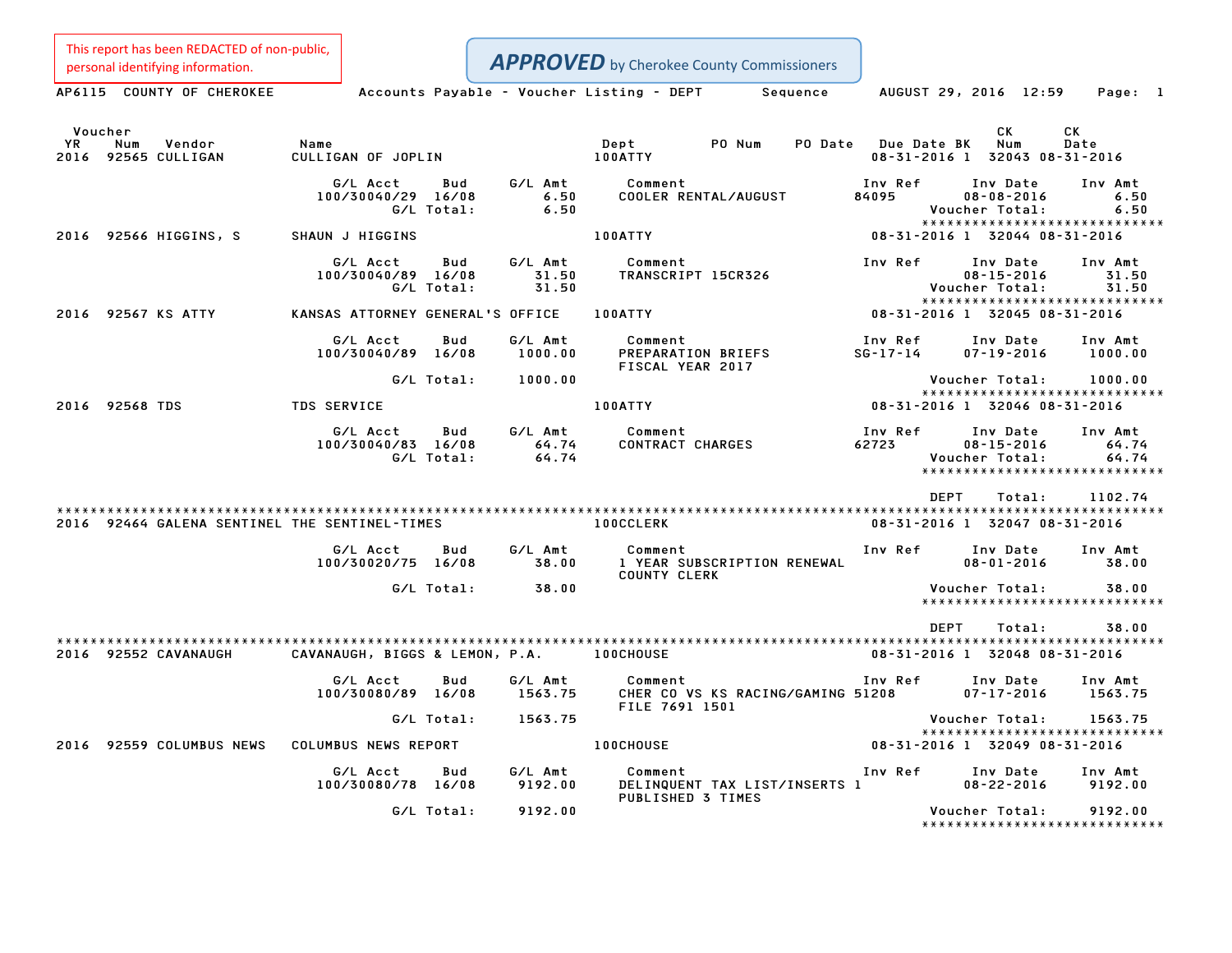This report has been REDACTED of non-public,

**APPROVED** by Cherokee County Commissioners

Personal identifying information.<br>
Accounts Payable - Voucher Listing - DEPT Sequence AUGUST 29, 2016 12:59 Page: 1 Voucher CK CK YR Num Vendor Name Dept PO Num PO Date Due Date BK Num Date 2000 CK CK<br>2016 YR Num Vendor – Name Name (New York Dept PO Num PO Date Due Date BK Num Date<br>2016 92565 CULLIGAN – CULLIGAN OF JOPLIN – 100ATTY – 100ATTY – 100ATTY – 100ATTY – 108-31-2016 1 32043 08-31-G/L Acct Bud G/L Amt Comment Inv Ref Inv Date Inv Amt 100/30040/29 16/08 6.50 COOLER RENTAL/AUGUST <sup>84095</sup> 08-08-2016 6.50 G/L Total: 6.50 Voucher Total: 6.50 \*\*\*\*\*\*\*\*\*\*\*\*\*\*\*\*\*\*\*\*\*\*\*\*\*\*\*\*\* <sup>2016</sup> <sup>92566</sup> HIGGINS, <sup>S</sup> SHAUN <sup>J</sup> HIGGINS 100ATTY 08-31-2016 <sup>1</sup> <sup>32044</sup> 08-31-2016 G/L Acct Bud G/L Amt Comment Inv Ref Inv Date Inv Amt 100/30040/89 16/08 31.50 TRANSCRIPT 15CR326 08-15-2016 31.50 G/L Total: 31.50 Voucher Total: 31.50 \*\*\*\*\*\*\*\*\*\*\*\*\*\*\*\*\*\*\*\*\*\*\*\*\*\*\*\*\* <sup>2016</sup> <sup>92567</sup> KS ATTY KANSAS ATTORNEY GENERAL'S OFFICE 100ATTY 08-31-2016 <sup>1</sup> <sup>32045</sup> 08-31-2016 G/L Acct Bud G/L Amt Comment Inv Ref Inv Date Inv Amt 100/30040/89 16/08 1000.00 PREPARATION BRIEFS SG-17-14 07-19-2016 1000.00 PREPARATION BRIEFS<br>FISCAL YEAR 2017 G/L Total: 1000.00 Voucher Total: 1000.00 Voucher Total: 1000.00<br>\*\*\*\*\*\*\*\*\*\*\*\*\*\*\*\*\*\*\*\*\*\*\*\*\*\*\*\* <sup>2016</sup> <sup>92568</sup> TDS TDS SERVICE 100ATTY 08-31-2016 <sup>1</sup> <sup>32046</sup> 08-31-2016 G/L Acct Bud G/L Amt Comment Inv Ref Inv Date Inv Amt 100/30040/83 16/08 64.74 CONTRACT CHARGES <sup>62723</sup> 08-15-2016 64.74 G/L Total: 64.74 Voucher Total: 64.74 \* 08-15-2016 64.74<br>Voucher Total: 64.74<br>\*\*\*\*\*\*\*\*\*\*\*\*\*\*\*\*\*\*\*\*\*\*\*\*\*\*\*\*\* \*\*\*\*\*\*\*\*\*\*\*\*\*\*\*\*\*\*\*\*\*\*\*\*<br>DEPT Total: 1102.74 \*\*\*\*\*\*\*\*\*\*\*\*\*\*\*\*\*\*\*\*\*\*\*\*\*\*\*\*\*\*\*\*\*\*\*\*\*\*\*\*\*\*\*\*\*\*\*\*\*\*\*\*\*\*\*\*\*\*\*\*\*\*\*\*\*\*\*\*\*\*\*\*\*\*\*\*\*\*\*\*\*\*\*\*\*\*\*\*\*\*\*\*\*\*\*\*\*\*\*\*\*\*\*\*\*\*\*\*\*\*\*\*\*\*\*\*\*\*\*\*\*\*\*\*\*\*\*\*\*\*\*\* <sup>2016</sup> <sup>92464</sup> GALENA SENTINEL THE SENTINEL-TIMES 100CCLERK 08-31-2016 <sup>1</sup> <sup>32047</sup> 08-31-2016 G/L Acct Bud G/L Amt Comment Inv Ref Inv Date Inv Amt 100/30020/75 16/08 38.00 <sup>1</sup> YEAR SUBSCRIPTION RENEWAL 08-01-2016 38.00 Comment<br>1 YEAR SUBSCRIPTION RENEWAL<br>COUNTY CLERK G/L Total: 38.00 Voucher Total: 38.00 \*\*\*\*\*\*\*\*\*\*\*\*\*\*\*\*\*\*\*\*\*\*\*\*\*\*\*\*\* DEPT Total: 38.00 \*\*\*\*\*\*\*\*\*\*\*\*\*\*\*\*\*\*\*\*\*\*\*\*\*\*\*\*\*\*\*\*\*\*\*\*\*\*\*\*\*\*\*\*\*\*\*\*\*\*\*\*\*\*\*\*\*\*\*\*\*\*\*\*\*\*\*\*\*\*\*\*\*\*\*\*\*\*\*\*\*\*\*\*\*\*\*\*\*\*\*\*\*\*\*\*\*\*\*\*\*\*\*\*\*\*\*\*\*\*\*\*\*\*\*\*\*\*\*\*\*\*\*\*\*\*\*\*\*\*\*\* <sup>2016</sup> <sup>92552</sup> CAVANAUGH CAVANAUGH, BIGGS & LEMON, P.A. 100CHOUSE 08-31-2016 <sup>1</sup> <sup>32048</sup> 08-31-2016 G/L Acct Bud G/L Amt Comment Inv Ref Inv Date Inv Amt 100/30080/89 16/08 1563.75 CHER CO VS KS RACING/GAMING <sup>51208</sup> 07-17-2016 1563.75 FILE <sup>7691</sup> <sup>1501</sup> G/L Total: 1563.75 Voucher Total: 1563.75 Voucher Total: 1563.75<br>\*\*\*\*\*\*\*\*\*\*\*\*\*\*\*\*\*\*\*\*\*\*\*\*\*\*\*\* .1563 . Voucher Total<br>(2016 02559 COLUMBUS NEWS COLUMBUS NEWS REPORT 100CHOUSE 100CHOUSE 100CHOUSE 100-31-2016 08-31-2016 1 32049 08-<br>2016 08-31-2016 1 32049 100-2016 1 32049 100-2016 1 2016 1 2016 1 2016 1 32049 100-2016 G/L Acct Bud G/L Amt Comment Inv Ref Inv Date Inv Amt 100/30080/78 16/08 9192.00 DELINQUENT TAX LIST/INSERTS <sup>1</sup> 08-22-2016 9192.00 PUBLISHED <sup>3</sup> TIMES G/L Total: 9192.00 Voucher Total: 9192.00 Voucher Total: 9192.00<br>\*\*\*\*\*\*\*\*\*\*\*\*\*\*\*\*\*\*\*\*\*\*\*\*\*\*\*\*\*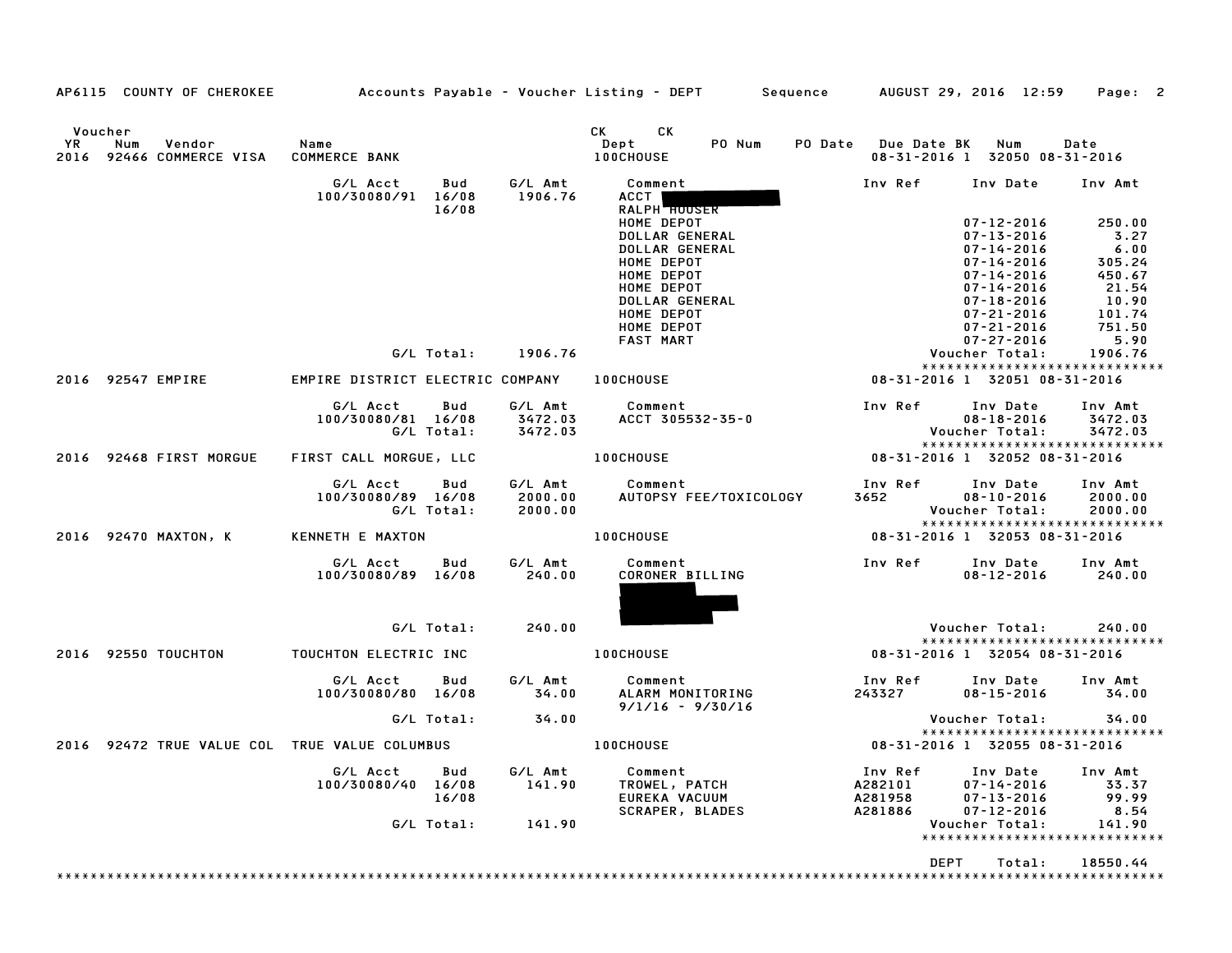| AP6115 COUNTY OF CHEROKEE                                      |                              |                                  |                   |                               | Accounts Payable - Voucher Listing - DEPT                                                                                                                  |                                        | Sequence |                                          | AUGUST 29, 2016 12:59                                                                                                                                                                                | Page: 2                                                                                  |
|----------------------------------------------------------------|------------------------------|----------------------------------|-------------------|-------------------------------|------------------------------------------------------------------------------------------------------------------------------------------------------------|----------------------------------------|----------|------------------------------------------|------------------------------------------------------------------------------------------------------------------------------------------------------------------------------------------------------|------------------------------------------------------------------------------------------|
| Voucher<br>YR.<br>Vendor<br>Num<br>2016<br>92466 COMMERCE VISA | Name<br><b>COMMERCE BANK</b> |                                  |                   |                               | CK<br>CK<br>Dept<br>100CHOUSE                                                                                                                              | PO Num                                 |          | PO Date Due Date BK                      | Num<br>08-31-2016 1 32050 08-31-2016                                                                                                                                                                 | Date                                                                                     |
|                                                                |                              | G/L Acct<br>100/30080/91 16/08   | Bud<br>16/08      | G/L Amt<br>1906.76            | Comment<br>ACCT  <br><b>RALPH HOUSER</b>                                                                                                                   |                                        |          | Inv Ref                                  | Inv Date                                                                                                                                                                                             | Inv Amt                                                                                  |
|                                                                |                              |                                  |                   |                               | HOME DEPOT<br>DOLLAR GENERAL<br>DOLLAR GENERAL<br>HOME DEPOT<br>HOME DEPOT<br>HOME DEPOT<br>DOLLAR GENERAL<br>HOME DEPOT<br>HOME DEPOT<br><b>FAST MART</b> |                                        |          |                                          | $07 - 12 - 2016$<br>$07 - 13 - 2016$<br>$07 - 14 - 2016$<br>$07 - 14 - 2016$<br>$07 - 14 - 2016$<br>$07 - 14 - 2016$<br>$07 - 18 - 2016$<br>$07 - 21 - 2016$<br>$07 - 21 - 2016$<br>$07 - 27 - 2016$ | 250.00<br>3.27<br>6.00<br>305.24<br>450.67<br>21.54<br>10.90<br>101.74<br>751.50<br>5.90 |
|                                                                |                              |                                  | G/L Total:        | 1906.76                       |                                                                                                                                                            |                                        |          |                                          | Voucher Total:                                                                                                                                                                                       | 1906.76<br>*****************************                                                 |
| 2016 92547 EMPIRE                                              |                              | EMPIRE DISTRICT ELECTRIC COMPANY |                   |                               | 100CHOUSE                                                                                                                                                  |                                        |          |                                          | 08-31-2016 1 32051 08-31-2016                                                                                                                                                                        |                                                                                          |
|                                                                |                              | G/L Acct<br>100/30080/81 16/08   | Bud<br>G/L Total: | G/L Amt<br>3472.03<br>3472.03 | Comment                                                                                                                                                    | ACCT 305532-35-0                       |          | Inv Ref                                  | Inv Date<br>$08 - 18 - 2016$<br>Voucher Total:                                                                                                                                                       | Inv Amt<br>3472.03<br>3472.03                                                            |
| 2016 92468 FIRST MORGUE                                        |                              | FIRST CALL MORGUE, LLC           |                   |                               | 100CHOUSE                                                                                                                                                  |                                        |          |                                          | 08-31-2016 1 32052 08-31-2016                                                                                                                                                                        | *****************************                                                            |
|                                                                |                              | G/L Acct<br>100/30080/89 16/08   | Bud<br>G/L Total: | G/L Amt<br>2000.00<br>2000.00 | Comment                                                                                                                                                    | AUTOPSY FEE/TOXICOLOGY                 |          | Inv Ref<br>3652                          | Inv Date<br>$08 - 10 - 2016$<br>Voucher Total:                                                                                                                                                       | Inv Amt<br>2000.00<br>2000.00<br>*****************************                           |
| 2016 92470 MAXTON, K                                           |                              | KENNETH E MAXTON                 |                   |                               | 100CHOUSE                                                                                                                                                  |                                        |          |                                          | 08-31-2016 1 32053 08-31-2016                                                                                                                                                                        |                                                                                          |
|                                                                |                              | G/L Acct<br>100/30080/89 16/08   | Bud               | G/L Amt<br>240.00             | Comment<br>CORONER BILLING                                                                                                                                 |                                        |          | Inv Ref                                  | Inv Date<br>$08 - 12 - 2016$                                                                                                                                                                         | Inv Amt<br>240.00                                                                        |
|                                                                |                              |                                  | G/L Total:        | 240.00                        |                                                                                                                                                            |                                        |          |                                          | Voucher Total:                                                                                                                                                                                       | 240.00                                                                                   |
| 2016 92550 TOUCHTON                                            |                              | TOUCHTON ELECTRIC INC            |                   |                               | 100CHOUSE                                                                                                                                                  |                                        |          |                                          | 08-31-2016 1 32054 08-31-2016                                                                                                                                                                        | *****************************                                                            |
|                                                                |                              | G/L Acct<br>100/30080/80 16/08   | Bud               | G/L Amt<br>34.00              | Comment                                                                                                                                                    | ALARM MONITORING<br>$9/1/16 - 9/30/16$ |          | Inv Ref<br>243327                        | Inv Date<br>$08 - 15 - 2016$                                                                                                                                                                         | Inv Amt<br>34.00                                                                         |
|                                                                |                              |                                  | G/L Total:        | 34.00                         |                                                                                                                                                            |                                        |          |                                          | Voucher Total:                                                                                                                                                                                       | 34.00                                                                                    |
| 2016 92472 TRUE VALUE COL TRUE VALUE COLUMBUS                  |                              |                                  |                   |                               | 100CHOUSE                                                                                                                                                  |                                        |          |                                          | 08-31-2016 1 32055 08-31-2016                                                                                                                                                                        | *****************************                                                            |
|                                                                |                              | G/L Acct<br>100/30080/40 16/08   | Bud<br>16/08      | G/L Amt<br>141.90             | Comment<br>TROWEL, PATCH<br>EUREKA VACUUM<br><b>SCRAPER, BLADES</b>                                                                                        |                                        |          | Inv Ref<br>A282101<br>A281958<br>A281886 | Inv Date<br>$07 - 14 - 2016$<br>$07 - 13 - 2016$<br>$07 - 12 - 2016$                                                                                                                                 | Inv Amt<br>33.37<br>99.99<br>8.54                                                        |
|                                                                |                              |                                  | G/L Total:        | 141.90                        |                                                                                                                                                            |                                        |          |                                          | Voucher Total:                                                                                                                                                                                       | 141.90<br>*****************************                                                  |
|                                                                |                              |                                  |                   |                               |                                                                                                                                                            |                                        |          | <b>DEPT</b>                              | Total:                                                                                                                                                                                               | 18550.44                                                                                 |
|                                                                |                              |                                  |                   |                               |                                                                                                                                                            |                                        |          |                                          |                                                                                                                                                                                                      |                                                                                          |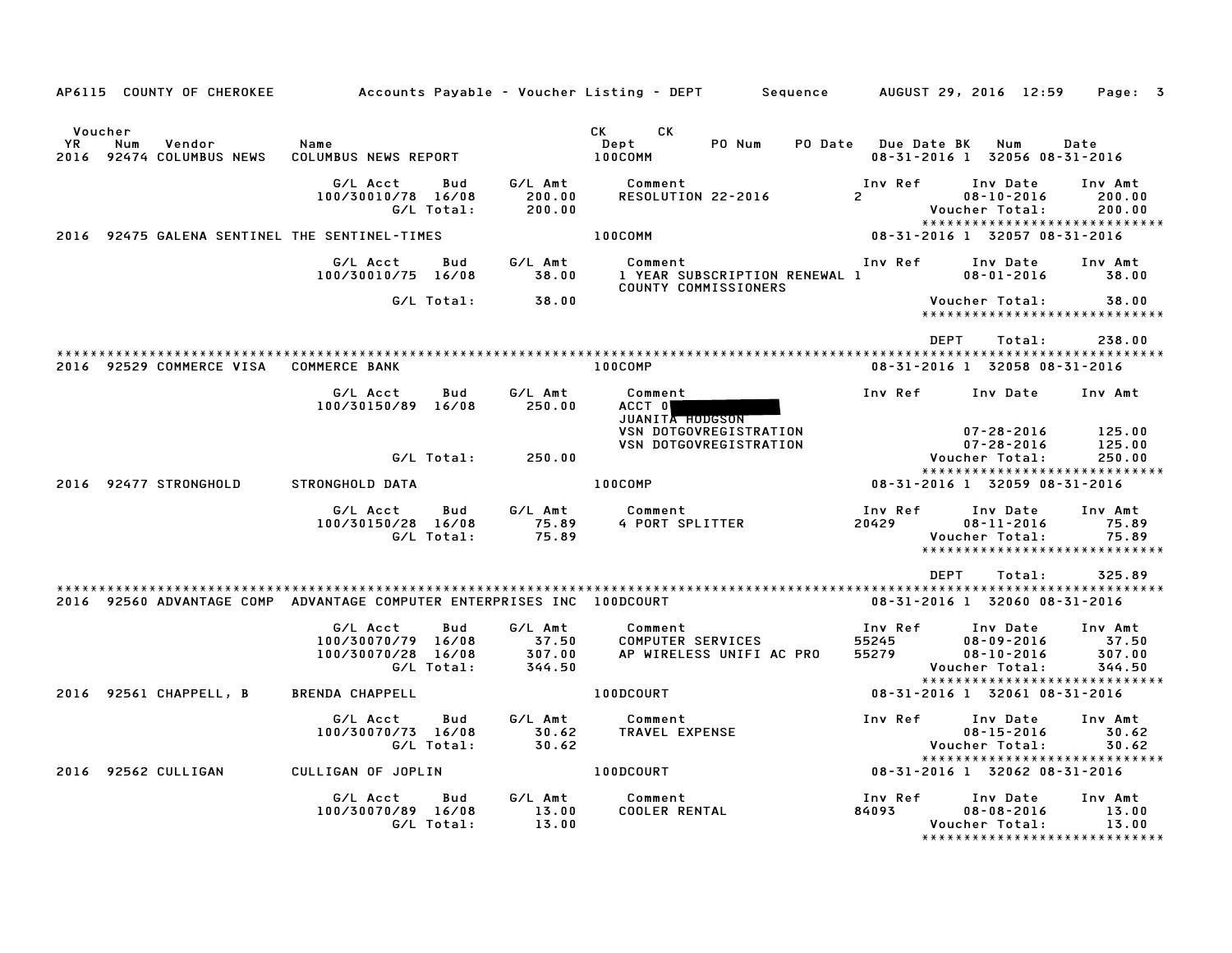| AP6115 COUNTY OF CHEROKEE                                              |                                                                           |                                      | Accounts Payable – Voucher Listing – DEPT         Sequence       |                           | AUGUST 29, 2016 12:59<br>Page: 3                                                                             |
|------------------------------------------------------------------------|---------------------------------------------------------------------------|--------------------------------------|------------------------------------------------------------------|---------------------------|--------------------------------------------------------------------------------------------------------------|
|                                                                        |                                                                           |                                      |                                                                  |                           |                                                                                                              |
| Voucher<br>YR<br>Num<br>Vendor<br>2016 92474 COLUMBUS NEWS             | Name<br>COLUMBUS NEWS REPORT                                              |                                      | CK CK<br>Dept<br>PO Num<br>100COMM                               | PO Date Due Date BK       | Num<br>Date<br>08-31-2016 1 32056 08-31-2016                                                                 |
|                                                                        | G/L Acct<br>Bud<br>100/30010/78 16/08<br>G/L Total:                       | G/L Amt<br>200.00<br>200.00          | Comment<br>RESOLUTION 22-2016                                    | Inv Ref<br>$2^{\sim}$     | Inv Date<br>Inv Amt<br>$08 - 10 - 2016$<br>200.00<br>Voucher Total:<br>200.00                                |
| 2016 92475 GALENA SENTINEL THE SENTINEL-TIMES                          |                                                                           |                                      | 100COMM                                                          |                           | *****************************<br>08-31-2016 1 32057 08-31-2016                                               |
|                                                                        | G/L Acct<br>Bud<br>100/30010/75 16/08                                     | G/L Amt<br>38.00                     | Comment<br>1 YEAR SUBSCRIPTION RENEWAL 1<br>COUNTY COMMISSIONERS | Inv Ref                   | Inv Date<br>Inv Amt<br>$08 - 01 - 2016$<br>38.00                                                             |
|                                                                        | G/L Total:                                                                | 38.00                                |                                                                  |                           | Voucher Total:<br>38.00<br>*****************************                                                     |
| 2016 92529 COMMERCE VISA                                               | <b>COMMERCE BANK</b>                                                      |                                      | 100COMP                                                          | DEPT                      | 238.00<br>Total:<br>08-31-2016 1 32058 08-31-2016                                                            |
|                                                                        | G/L Acct<br>Bud<br>100/30150/89 16/08                                     | G/L Amt<br>250.00                    | Comment<br>ACCT 0<br>JUANITA HODGSON                             | Inv Ref                   | Inv Date<br>Inv Amt                                                                                          |
|                                                                        | G/L Total:                                                                | 250.00                               | <b>VSN DOTGOVREGISTRATION</b><br>VSN DOTGOVREGISTRATION          |                           | $07 - 28 - 2016$<br>125.00<br>$07 - 28 - 2016$<br>125.00<br>Voucher Total:<br>250.00                         |
| 2016 92477 STRONGHOLD                                                  | STRONGHOLD DATA                                                           |                                      | 100COMP                                                          |                           | *****************************<br>08-31-2016 1 32059 08-31-2016                                               |
|                                                                        | G/L Acct<br>Bud<br>100/30150/28 16/08<br>G/L Total:                       | G/L Amt<br>75.89<br>75.89            | Comment<br>4 PORT SPLITTER                                       | Inv Ref<br>20429          | Inv Date<br>Inv Amt<br>$08 - 11 - 2016$<br>75.89<br>75.89<br>Voucher Total:                                  |
|                                                                        |                                                                           |                                      |                                                                  |                           | ******************************                                                                               |
|                                                                        |                                                                           |                                      |                                                                  | <b>DEPT</b>               | 325.89<br>Total:                                                                                             |
| 2016 92560 ADVANTAGE COMP ADVANTAGE COMPUTER ENTERPRISES INC 100DCOURT |                                                                           |                                      |                                                                  |                           | 08-31-2016 1 32060 08-31-2016                                                                                |
|                                                                        | G/L Acct<br>Bud<br>100/30070/79 16/08<br>100/30070/28 16/08<br>G/L Total: | G/L Amt<br>37.50<br>307.00<br>344.50 | Comment<br>COMPUTER SERVICES<br>AP WIRELESS UNIFI AC PRO         | Inv Ref<br>55245<br>55279 | Inv Date<br>Inv Amt<br>$08 - 09 - 2016$<br>37.50<br>$08 - 10 - 2016$<br>307.00<br>344.50<br>Voucher Total:   |
| 2016 92561 CHAPPELL, B                                                 | <b>BRENDA CHAPPELL</b>                                                    |                                      | <b>100DCOURT</b>                                                 |                           | ******************************<br>08-31-2016 1 32061 08-31-2016                                              |
|                                                                        | G/L Acct<br>Bud<br>100/30070/73 16/08<br>G/L Total:                       | G/L Amt<br>30.62<br>30.62            | Comment<br>TRAVEL EXPENSE                                        | Inv Ref                   | Inv Date<br>Inv Amt<br>$08 - 15 - 2016$<br>30.62<br>Voucher Total:<br>30.62                                  |
| 2016 92562 CULLIGAN                                                    | CULLIGAN OF JOPLIN                                                        |                                      | 100DCOURT                                                        |                           | *****************************<br>08-31-2016 1 32062 08-31-2016                                               |
|                                                                        | G/L Acct<br>Bud<br>100/30070/89 16/08<br>G/L Total:                       | G/L Amt<br>13.00<br>13.00            | Comment<br><b>COOLER RENTAL</b>                                  | Inv Ref<br>84093          | Inv Date<br>Inv Amt<br>$08 - 08 - 2016$<br>13.00<br>Voucher Total:<br>13.00<br>***************************** |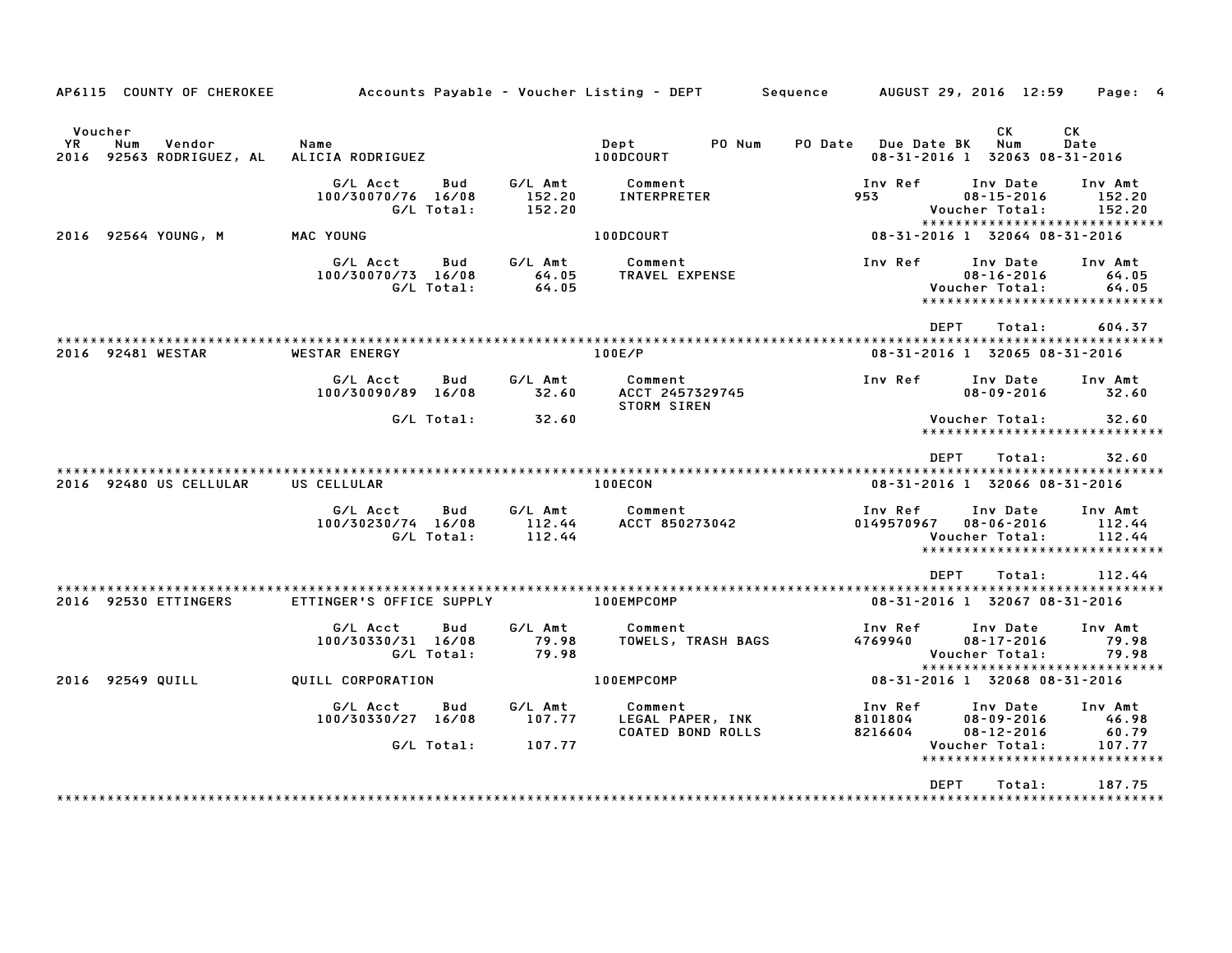| AP6115 COUNTY OF CHEROKEE                                   |                                                     |                             | Accounts Payable – Voucher Listing – DEPT         Sequence       AUGUST 29, 2016  12:59     Page:  4 |                                                      |                                                  |                                                              |
|-------------------------------------------------------------|-----------------------------------------------------|-----------------------------|------------------------------------------------------------------------------------------------------|------------------------------------------------------|--------------------------------------------------|--------------------------------------------------------------|
| Voucher<br>Vendor<br>YR.<br>Num<br>2016 92563 RODRIGUEZ, AL | Name<br>ALICIA RODRIGUEZ                            |                             | PO Num<br>Dept<br>100DCOURT                                                                          | PO Date Due Date BK<br>08-31-2016 1 32063 08-31-2016 | CK<br>Num                                        | CK<br>Date                                                   |
|                                                             | G/L Acct<br>Bud<br>100/30070/76 16/08<br>G/L Total: | G/L Amt<br>152.20<br>152.20 | Comment<br>INTERPRETER                                                                               | Inv Ref<br>953                                       | Inv Date<br>$08 - 15 - 2016$<br>Voucher Total:   | Inv Amt<br>152.20<br>152.20<br>***************************** |
| 2016 92564 YOUNG, M                                         | MAC YOUNG                                           |                             | 100DCOURT                                                                                            | 08-31-2016 1 32064 08-31-2016                        |                                                  |                                                              |
|                                                             | G/L Acct<br>Bud<br>100/30070/73 16/08<br>G/L Total: | G/L Amt<br>64.05<br>64.05   | Comment<br>TRAVEL EXPENSE                                                                            | Inv Ref                                              | Inv Date<br>$08 - 16 - 2016$<br>Voucher Total:   | Inv Amt<br>64.05<br>64.05<br>******************************  |
| 2016 92481 WESTAR                                           | WESTAR ENERGY                                       |                             | 100E/P                                                                                               | DEPT<br>08-31-2016 1 32065 08-31-2016                | Total:                                           | 604.37                                                       |
|                                                             | G/L Acct<br>Bud<br>100/30090/89 16/08               | G/L Amt<br>32.60            | Comment<br>ACCT 2457329745<br><b>STORM SIREN</b>                                                     | Inv Ref                                              | Inv Date<br>$08 - 09 - 2016$                     | Inv Amt<br>32.60                                             |
|                                                             | G/L Total:                                          | 32.60                       |                                                                                                      |                                                      | Voucher Total:                                   | 32.60<br>******************************                      |
|                                                             |                                                     |                             |                                                                                                      | <b>DEPT</b>                                          | Total:                                           | 32.60                                                        |
| 2016 92480 US CELLULAR                                      | US CELLULAR                                         |                             | 100ECON                                                                                              | 08-31-2016 1 32066 08-31-2016                        |                                                  |                                                              |
|                                                             | G/L Acct<br>Bud<br>100/30230/74 16/08<br>G/L Total: | G/L Amt<br>112.44<br>112.44 | Comment<br>ACCT 850273042                                                                            | Inv Ref<br>0149570967                                | Inv Date<br>$08 - 06 - 2016$<br>Voucher Total:   | Inv Amt<br>112.44<br>112.44<br>***************************** |
| 2016 92530 ETTINGERS                                        | ETTINGER'S OFFICE SUPPLY                            |                             | 100EMPCOMP                                                                                           | <b>DEPT</b><br>08-31-2016 1 32067 08-31-2016         | Total:                                           | 112.44                                                       |
|                                                             | G/L Acct<br>Bud<br>100/30330/31 16/08<br>G/L Total: | G/L Amt<br>79.98<br>79.98   | Comment<br>TOWELS, TRASH BAGS                                                                        | Inv Ref<br>4769940                                   | Inv Date<br>$08 - 17 - 2016$<br>Voucher Total:   | Inv Amt<br>79.98<br>79.98                                    |
| 2016 92549 QUILL                                            | QUILL CORPORATION                                   |                             | 100EMPCOMP                                                                                           | 08-31-2016 1 32068 08-31-2016                        |                                                  | *****************************                                |
|                                                             | G/L Acct<br>Bud<br>100/30330/27 16/08               | G/L Amt<br>107.77           | Comment<br>LEGAL PAPER, INK<br><b>COATED BOND ROLLS</b>                                              | Inv Ref<br>8101804<br>8216604<br>8216604             | Inv Date<br>$08 - 09 - 2016$<br>$08 - 12 - 2016$ | Inv Amt<br>46.98<br>60.79                                    |
|                                                             | G/L Total:                                          | 107.77                      |                                                                                                      |                                                      | Voucher Total:                                   | 107.77<br>******************************                     |
|                                                             |                                                     |                             |                                                                                                      | <b>DEPT</b>                                          | Total:                                           | 187.75<br>*************                                      |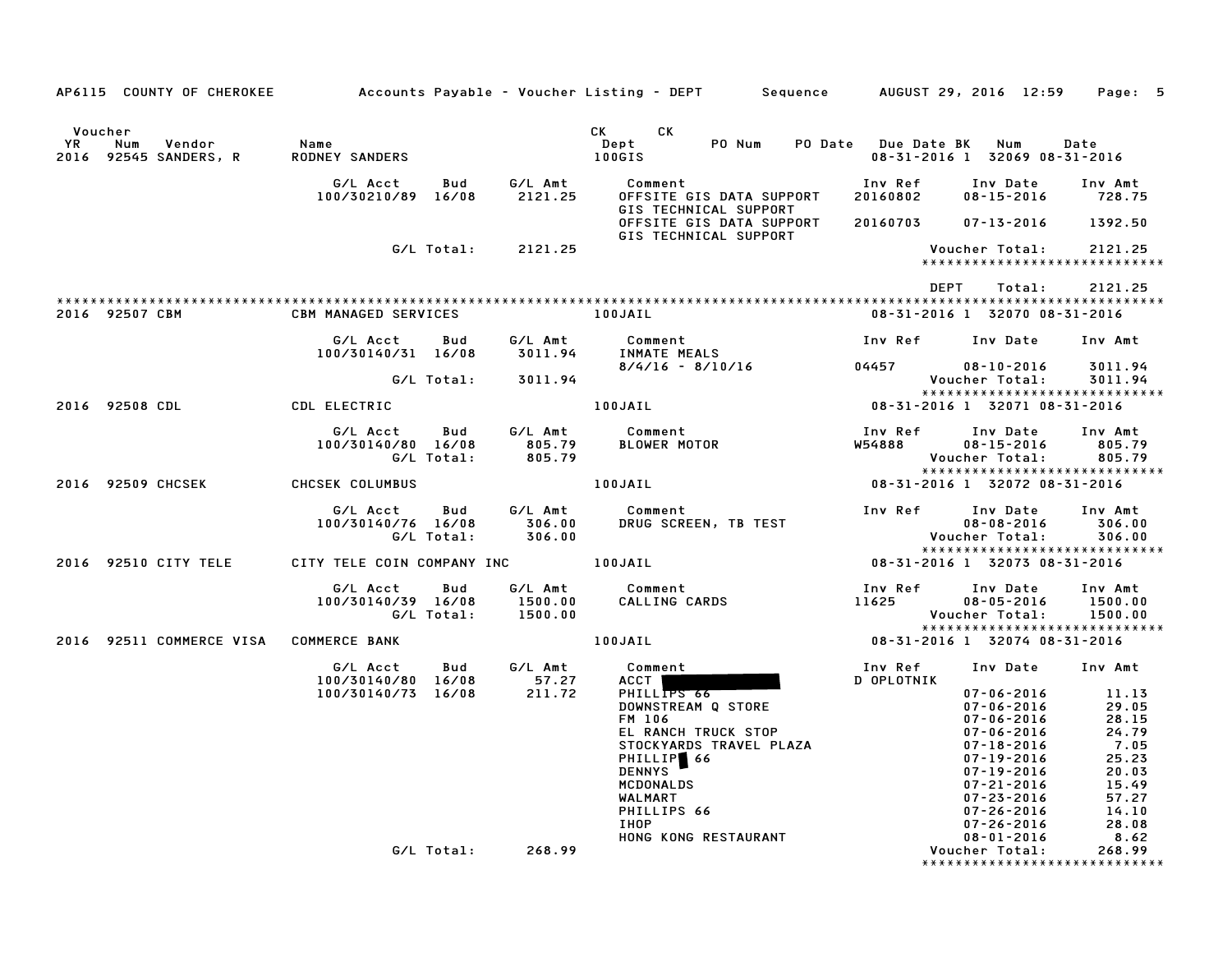|                                                                   |                                    |                          |                               | AP6115 COUNTY OF CHEROKEE Accounts Payable – Voucher Listing – DEPT Sequence AUGUST 29, 2016 12:59                                                   |                               |                                                                                                                                                          | Page: 5                                                                      |
|-------------------------------------------------------------------|------------------------------------|--------------------------|-------------------------------|------------------------------------------------------------------------------------------------------------------------------------------------------|-------------------------------|----------------------------------------------------------------------------------------------------------------------------------------------------------|------------------------------------------------------------------------------|
|                                                                   |                                    |                          |                               |                                                                                                                                                      |                               |                                                                                                                                                          |                                                                              |
| Voucher<br><b>YR</b><br>Num<br>Vendor<br>2016<br>92545 SANDERS, R | Name<br><b>RODNEY SANDERS</b>      |                          |                               | CK <sub>2</sub><br>CK<br>PO Num<br>Dept<br>100GIS                                                                                                    | PO Date Due Date BK           | Num<br>08-31-2016 1 32069 08-31-2016                                                                                                                     | Date                                                                         |
|                                                                   | G/L Acct<br>100/30210/89 16/08     | Bud                      | G/L Amt<br>2121.25            | Comment<br>OFFSITE GIS DATA SUPPORT<br>GIS TECHNICAL SUPPORT                                                                                         | Inv Ref<br>20160802           | Inv Date<br>$08 - 15 - 2016$                                                                                                                             | Inv Amt<br>728.75                                                            |
|                                                                   |                                    |                          |                               | OFFSITE GIS DATA SUPPORT<br>GIS TECHNICAL SUPPORT                                                                                                    | 20160703                      | 07-13-2016                                                                                                                                               | 1392.50                                                                      |
|                                                                   |                                    | G/L Total:               | 2121.25                       |                                                                                                                                                      |                               | Voucher Total:<br>*****************************                                                                                                          | 2121.25                                                                      |
|                                                                   |                                    |                          |                               |                                                                                                                                                      | DEPT                          | Total:                                                                                                                                                   | 2121.25                                                                      |
| 2016 92507 CBM                                                    | <b>CBM MANAGED SERVICES</b>        |                          |                               | 100JAIL                                                                                                                                              |                               | 08-31-2016 1 32070 08-31-2016                                                                                                                            |                                                                              |
|                                                                   | G/L Acct<br>100/30140/31 16/08     | Bud                      | G/L Amt<br>3011.94            | Comment<br>INMATE MEALS                                                                                                                              |                               | Inv Ref Inv Date                                                                                                                                         | Inv Amt                                                                      |
|                                                                   |                                    | G/L Total:               | 3011.94                       | 8/4/16 - 8/10/16 04457                                                                                                                               |                               | $08 - 10 - 2016$<br>Voucher Total:                                                                                                                       | 3011.94<br>3011.94                                                           |
| 2016 92508 CDL                                                    | <b>CDL ELECTRIC</b>                |                          |                               | 100JAIL                                                                                                                                              |                               | *****************************<br>08-31-2016 1 32071 08-31-2016                                                                                           |                                                                              |
|                                                                   | G/L Acct<br>100/30140/80 16/08     | Bud<br>G/L Total:        | G/L Amt<br>805.79<br>805.79   | Comment<br>BLOWER MOTOR                                                                                                                              | Inv Ref<br>W54888             | Inv Date<br>$08 - 15 - 2016$<br>Voucher Total:                                                                                                           | Inv Amt<br>805.79<br>805.79                                                  |
| 2016 92509 CHCSEK                                                 | CHCSEK COLUMBUS                    |                          |                               | 100JAIL                                                                                                                                              | 08-31-2016 1 32072 08-31-2016 | *****************************                                                                                                                            |                                                                              |
|                                                                   | G/L Acct<br>100/30140/76 16/08     | <b>Bud</b><br>G/L Total: | G/L Amt<br>306.00<br>306.00   | Comment<br>DRUG SCREEN, TB TEST                                                                                                                      | Inv Ref                       | Inv Date<br>$08 - 08 - 2016$<br>Voucher Total:                                                                                                           | Inv Amt<br>306.00<br>306.00                                                  |
| 2016 92510 CITY TELE                                              | CITY TELE COIN COMPANY INC 100JAIL |                          |                               |                                                                                                                                                      | 08-31-2016 1 32073 08-31-2016 | *****************************                                                                                                                            |                                                                              |
|                                                                   | G/L Acct<br>100/30140/39 16/08     | Bud<br>G/L Total:        | G/L Amt<br>1500.00<br>1500.00 | Comment<br>CALLING CARDS 11625                                                                                                                       | Inv Ref                       | Inv Date<br>$08 - 05 - 2016$<br>Voucher Total:                                                                                                           | Inv Amt<br>1500.00<br>1500.00                                                |
| 2016 92511 COMMERCE VISA COMMERCE BANK                            |                                    |                          |                               | 100JAIL                                                                                                                                              |                               | *****************************<br>08-31-2016 1 32074 08-31-2016                                                                                           |                                                                              |
|                                                                   | G/L Acct<br>100/30140/80 16/08     | Bud                      | G/L Amt<br>57.27              | Comment<br>ACCT                                                                                                                                      | Inv Ref<br>D OPLOTNIK         | Inv Date Inv Amt                                                                                                                                         |                                                                              |
|                                                                   | 100/30140/73 16/08                 |                          | 211.72                        | PHILLIPS 66<br>DOWNSTREAM Q STORE<br>FM 106<br>EL RANCH TRUCK STOP<br>STOCKYARDS TRAVEL PLAZA<br>PHILLIP 66<br><b>DENNYS</b><br>MCDONALDS<br>WALMART |                               | $07 - 06 - 2016$<br>$07 - 06 - 2016$<br>$07 - 06 - 2016$<br>$07 - 06 - 2016$<br>07-18-2016<br>07-19-2016<br>07-19-2016<br>07-21-2016<br>$07 - 23 - 2016$ | 11.13<br>29.05<br>28.15<br>24.79<br>7.05<br>25.23<br>20.03<br>15.49<br>57.27 |
|                                                                   |                                    |                          | G/L Total: 268.99             | PHILLIPS 66<br>IHOP<br>HONG KONG RESTAURANT                                                                                                          |                               | 07-26-2016<br>$07 - 26 - 2016$<br>$08 - 01 - 2016$<br>Voucher Total:<br>*****************************                                                    | 14.10<br>28.08<br>8.62<br>268.99                                             |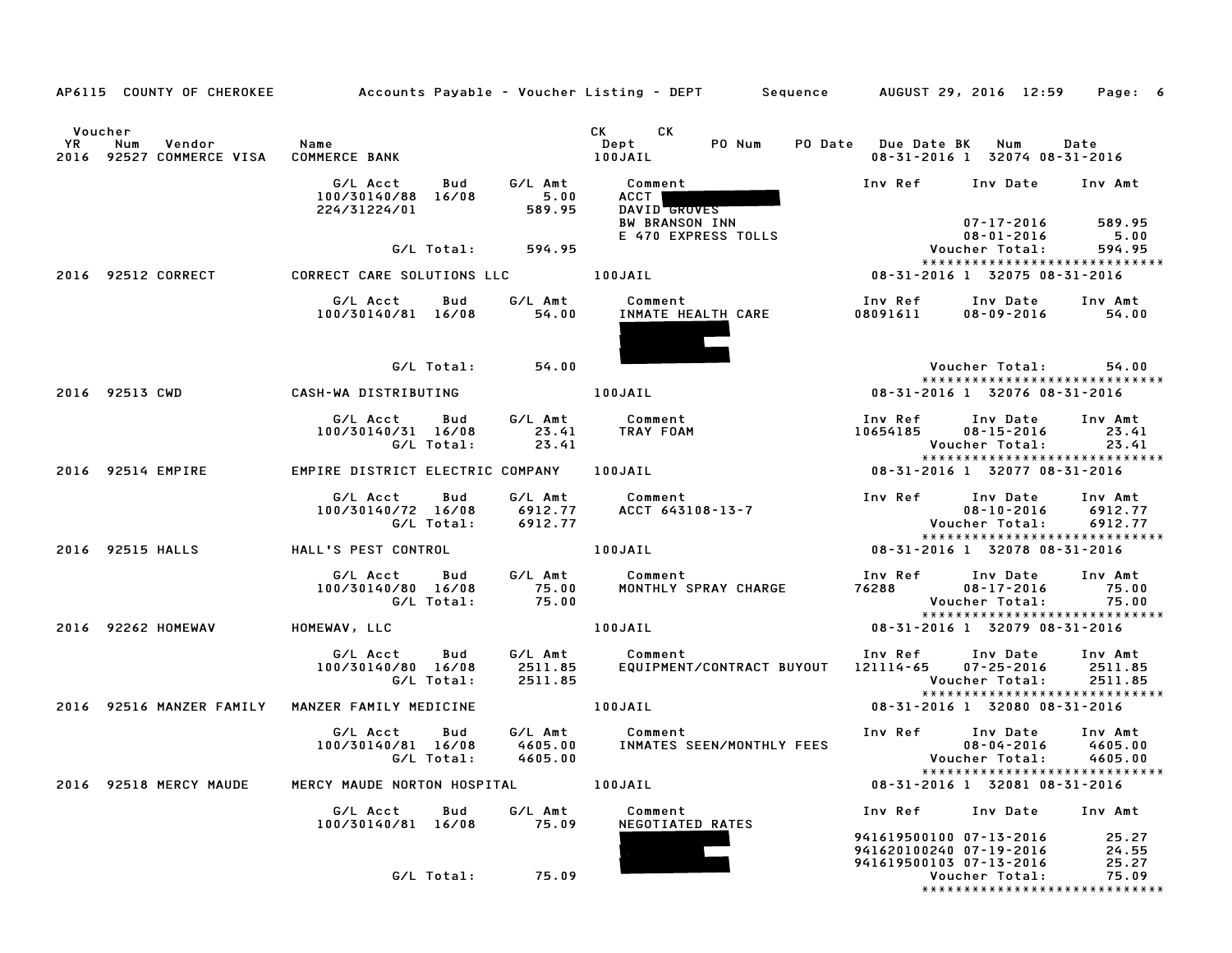| AP6115 COUNTY OF CHEROKEE                                                       |                                                                        | Accounts Payable – Voucher Listing – DEPT       Sequence     AUGUST 29, 2016 12:59                                                                                                                                                                                       | Page: 6                                                                                                                           |
|---------------------------------------------------------------------------------|------------------------------------------------------------------------|--------------------------------------------------------------------------------------------------------------------------------------------------------------------------------------------------------------------------------------------------------------------------|-----------------------------------------------------------------------------------------------------------------------------------|
| Voucher<br><b>YR</b><br>Vendor<br>Num<br>2016 92527 COMMERCE VISA COMMERCE BANK | Name                                                                   | <b>CK</b><br>CK and the set of the set of the set of the set of the set of the set of the set of the set of the set of the set of the set of the set of the set of the set of the set of the set of the set of the set of the set of the se<br>PO Num<br>Dept<br>100JAIL | PO Date Due Date BK Num<br>Date<br>08-31-2016 1 32074 08-31-2016                                                                  |
|                                                                                 | G/L Acct<br>Bud<br>5.00<br>100/30140/88 16/08<br>224/31224/01          | G/L Amt<br>Comment<br>ACCT  <br>589.95<br>DAVID GROVES                                                                                                                                                                                                                   | Inv Ref Inv Date Inv Amt                                                                                                          |
|                                                                                 | G/L Total:                                                             | <b>BW BRANSON INN</b><br>E 470 EXPRESS TOLLS<br>594.95                                                                                                                                                                                                                   | 07-17-2016<br>589.95<br>5.00<br>08-01-2016<br>Voucher Total:<br>594.95<br>*****************************                           |
| 2016 92512 CORRECT                                                              | CORRECT CARE SOLUTIONS LLC                                             | 100JAIL                                                                                                                                                                                                                                                                  | 08-31-2016 1 32075 08-31-2016                                                                                                     |
|                                                                                 | G/L Acct<br>G/L Amt<br>Bud<br>100/30140/81 16/08                       | Comment<br>INMATE HEALTH CARE<br>54.00                                                                                                                                                                                                                                   | Inv Ref<br>Inv Date<br>Inv Amt<br>08091611<br>54.00<br>08-09-2016                                                                 |
|                                                                                 | G/L Total:                                                             | 54.00                                                                                                                                                                                                                                                                    | Voucher Total:<br>54.00                                                                                                           |
| 2016 92513 CWD                                                                  | CASH-WA DISTRIBUTING                                                   | 100JAIL                                                                                                                                                                                                                                                                  | ******************************<br>08-31-2016 1 32076 08-31-2016                                                                   |
|                                                                                 | G/L Acct Bud<br>G/L Amt<br>100/30140/31 16/08<br>23.41<br>G/L Total:   | Comment<br>TRAY FOAM<br>TRAY FOAM<br>23.41                                                                                                                                                                                                                               | Inv Ref      Inv Date<br>10654185      08–15–2016<br>Inv Amt<br>23.41<br>Voucher Total:<br>23.41<br>***************************** |
| 2016 92514 EMPIRE                                                               | EMPIRE DISTRICT ELECTRIC COMPANY 100JAIL                               |                                                                                                                                                                                                                                                                          | 08-31-2016 1 32077 08-31-2016                                                                                                     |
|                                                                                 | G/L Acct<br>Bud<br>G/L Amt<br>100/30140/72 16/08<br>G/L Total:         | Comment<br>ACCT 643108-13-7<br>6912.77<br>6912.77                                                                                                                                                                                                                        | Inv Ref<br>Inv Date<br>Inv Amt<br>$08 - 10 - 2016$<br>6912.77<br>Voucher Total:<br>6912.77                                        |
| 2016 92515 HALLS                                                                | HALL'S PEST CONTROL                                                    | 100JAIL                                                                                                                                                                                                                                                                  | *****************************<br>08-31-2016 1 32078 08-31-2016                                                                    |
|                                                                                 | G/L Acct Bud<br>100/30140/80 16/08<br>75.00<br>G/L Total:              | G/L Amt Comment<br>MONTHLY SPRAY CHARGE<br>75.00                                                                                                                                                                                                                         | Inv Ref Inv Date<br>Inv Amt<br>76288<br>$08 - 17 - 2016$<br>75.00<br>Voucher Total:<br>75.00<br>*****************************     |
| 2016 92262 HOMEWAV                                                              | HOMEWAV, LLC                                                           | 100JAIL                                                                                                                                                                                                                                                                  | 08-31-2016 1 32079 08-31-2016                                                                                                     |
|                                                                                 | G/L Acct<br>Bud<br>100/30140/80 16/08<br>G/L Total:                    | G/L Amt Comment<br>2511.85<br>2511.85<br>EQUIPMENT/CONTRACT BUYOUT 121114-65 07-25-2016<br>2511.85                                                                                                                                                                       | Inv Ref Inv Date<br>Inv Amt<br>2511.85<br>Voucher Total:<br>2511.85                                                               |
| 2016 92516 MANZER FAMILY                                                        | MANZER FAMILY MEDICINE                                                 | 100JAIL                                                                                                                                                                                                                                                                  | *****************************<br>08-31-2016 1 32080 08-31-2016                                                                    |
|                                                                                 | G/L Acct<br>Bud<br>100/30140/81 16/08<br>4605.00<br>G/L Total: 4605.00 | G/L Amt Comment<br>INMATES SEEN/MONTHLY FEES                                                                                                                                                                                                                             | Inv Ref Inv Date<br>Inv Amt<br>$08 - 04 - 2016$<br>4605.00<br>Voucher Total: 4605.00                                              |
| 2016 92518 MERCY MAUDE                                                          | MERCY MAUDE NORTON HOSPITAL                                            | 100JAIL                                                                                                                                                                                                                                                                  | *****************************<br>08-31-2016 1 32081 08-31-2016                                                                    |
|                                                                                 | G/L Acct<br>Bud<br>G/L Amt                                             | Comment                                                                                                                                                                                                                                                                  | Inv Ref Inv Date<br>Inv Amt                                                                                                       |
|                                                                                 | 100/30140/81 16/08                                                     | 75.09<br>NEGOTIATED RATES                                                                                                                                                                                                                                                | 941619500100 07-13-2016<br>25.27<br>24.55<br>941620100240 07-19-2016<br>941619500103 07-13-2016<br>25.27                          |
|                                                                                 | G/L Total:                                                             | 75.09                                                                                                                                                                                                                                                                    | 75.09<br>Voucher Total:<br>*****************************                                                                          |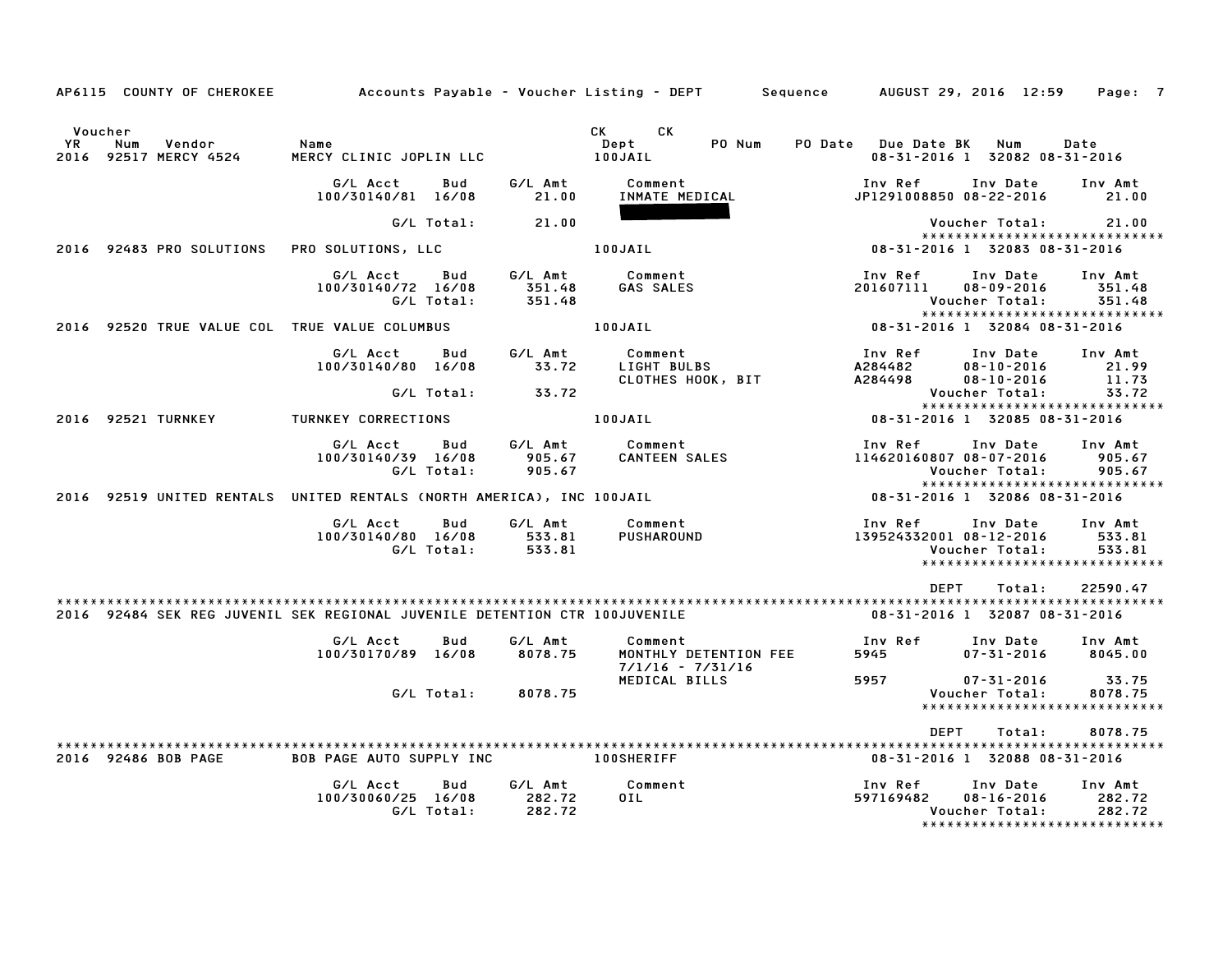| AP6115 COUNTY OF CHEROKEE                                                  | Accounts Payable - Voucher Listing - DEPT           |                             | Sequence                                                                                                                                                                                                                                                          | AUGUST 29, 2016 12:59                                                                              | Page: 7                     |
|----------------------------------------------------------------------------|-----------------------------------------------------|-----------------------------|-------------------------------------------------------------------------------------------------------------------------------------------------------------------------------------------------------------------------------------------------------------------|----------------------------------------------------------------------------------------------------|-----------------------------|
| Voucher<br>Vendor<br>YR<br>Num<br>2016 92517 MERCY 4524                    | Name<br>MERCY CLINIC JOPLIN LLC                     |                             | CK and the set of the set of the set of the set of the set of the set of the set of the set of the set of the set of the set of the set of the set of the set of the set of the set of the set of the set of the set of the se<br>CK<br>PO Num<br>Dept<br>100JAIL | PO Date Due Date BK<br>Num<br>08-31-2016 1 32082 08-31-2016                                        | Date                        |
|                                                                            | G/L Acct<br>Bud<br>100/30140/81 16/08               | G/L Amt<br>21.00            | Comment<br>INMATE MEDICAL                                                                                                                                                                                                                                         | Inv Ref<br>Inv Date<br>JP1291008850 08-22-2016                                                     | Inv Amt<br>21.00            |
|                                                                            | G/L Total:                                          | 21.00                       |                                                                                                                                                                                                                                                                   | Voucher Total:                                                                                     | 21.00                       |
| 2016 92483 PRO SOLUTIONS                                                   | PRO SOLUTIONS, LLC                                  |                             | 100JAIL                                                                                                                                                                                                                                                           | ******************************<br>08-31-2016 1 32083 08-31-2016                                    |                             |
|                                                                            | G/L Acct<br>Bud<br>100/30140/72 16/08<br>G/L Total: | G/L Amt<br>351.48<br>351.48 | Comment<br><b>GAS SALES</b>                                                                                                                                                                                                                                       | Inv Ref<br>Inv Date<br>201607111<br>$08 - 09 - 2016$<br>Voucher Total:                             | Inv Amt<br>351.48<br>351.48 |
| 2016 92520 TRUE VALUE COL TRUE VALUE COLUMBUS                              |                                                     |                             | 100JAIL                                                                                                                                                                                                                                                           | *****************************<br>08-31-2016 1 32084 08-31-2016                                     |                             |
|                                                                            | G/L Acct<br>Bud<br>100/30140/80 16/08               | G/L Amt<br>33.72            | Comment<br>LIGHT BULBS<br>CLOTHES HOOK, BIT                                                                                                                                                                                                                       | Inv Ref<br>Inv Date<br>A284482<br>$08 - 10 - 2016$<br>A284498<br>$08 - 10 - 2016$                  | Inv Amt<br>21.99<br>11.73   |
|                                                                            | G/L Total:                                          | 33.72                       |                                                                                                                                                                                                                                                                   | Voucher Total:                                                                                     | 33.72                       |
| 2016 92521 TURNKEY                                                         | TURNKEY CORRECTIONS                                 |                             | 100JAIL                                                                                                                                                                                                                                                           | *****************************<br>08-31-2016 1 32085 08-31-2016                                     |                             |
|                                                                            | G/L Acct<br>Bud<br>100/30140/39 16/08<br>G/L Total: | G/L Amt<br>905.67<br>905.67 | Comment<br>CANTEEN SALES                                                                                                                                                                                                                                          | Inv Ref<br>Inv Date<br>114620160807 08-07-2016<br>Voucher Total:<br>*****************************  | Inv Amt<br>905.67<br>905.67 |
| 2016 92519 UNITED RENTALS UNITED RENTALS (NORTH AMERICA), INC 100JAIL      |                                                     |                             |                                                                                                                                                                                                                                                                   | 08-31-2016 1 32086 08-31-2016                                                                      |                             |
|                                                                            | G/L Acct<br>Bud<br>100/30140/80 16/08<br>G/L Total: | G/L Amt<br>533.81<br>533.81 | Comment<br><b>PUSHAROUND</b>                                                                                                                                                                                                                                      | Inv Ref<br>Inv Date<br>139524332001 08-12-2016<br>Voucher Total:<br>*****************************  | Inv Amt<br>533.81<br>533.81 |
|                                                                            |                                                     |                             |                                                                                                                                                                                                                                                                   | DEPT<br>Total:                                                                                     | 22590.47                    |
| 2016 92484 SEK REG JUVENIL SEK REGIONAL JUVENILE DETENTION CTR 100JUVENILE |                                                     |                             |                                                                                                                                                                                                                                                                   | 08-31-2016 1 32087 08-31-2016                                                                      |                             |
|                                                                            | G/L Acct<br>Bud<br>100/30170/89 16/08               | G/L Amt<br>8078.75          | Comment<br>MONTHLY DETENTION FEE<br>$7/1/16 - 7/31/16$                                                                                                                                                                                                            | Inv Ref<br>Inv Date<br>$07 - 31 - 2016$<br>5945                                                    | Inv Amt<br>8045.00          |
|                                                                            | G/L Total:                                          | 8078.75                     | MEDICAL BILLS                                                                                                                                                                                                                                                     | 5957<br>07-31-2016<br>Voucher Total:<br>******************************                             | 33.75<br>8078.75            |
|                                                                            |                                                     |                             |                                                                                                                                                                                                                                                                   | <b>DEPT</b><br>Total:                                                                              | 8078.75                     |
| 2016 92486 BOB PAGE                                                        | <b>BOB PAGE AUTO SUPPLY INC</b>                     |                             | <b>100SHERIFF</b>                                                                                                                                                                                                                                                 | 08-31-2016 1 32088 08-31-2016                                                                      |                             |
|                                                                            | G/L Acct<br>Bud<br>100/30060/25 16/08<br>G/L Total: | G/L Amt<br>282.72<br>282.72 | Comment<br>OIL                                                                                                                                                                                                                                                    | Inv Ref<br>Inv Date<br>597169482<br>08-16-2016<br>Voucher Total:<br>****************************** | Inv Amt<br>282.72<br>282.72 |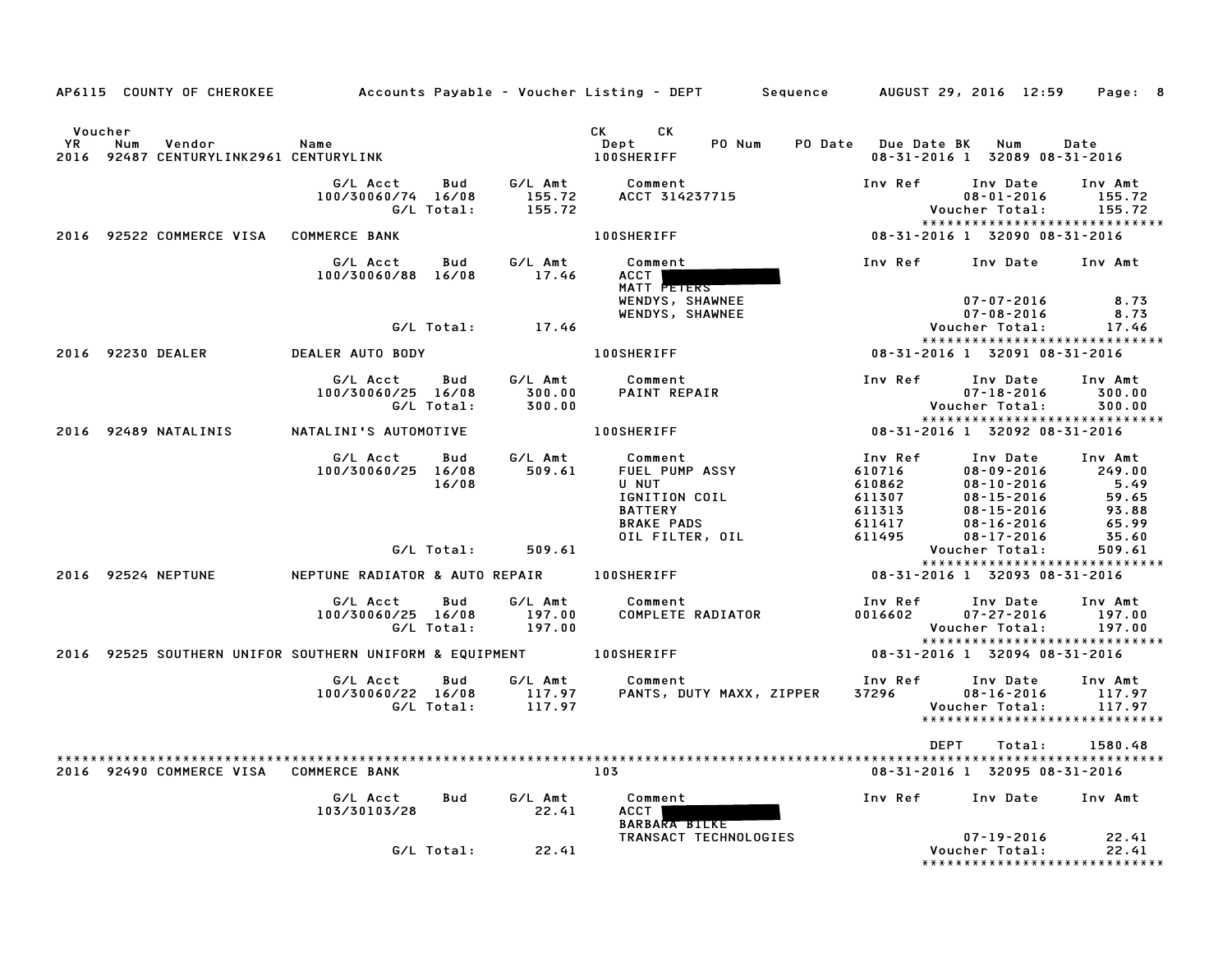|                       |     |                                             | AP6115 COUNTY OF CHEROKEE Accounts Payable – Voucher Listing – DEPT Sequence AUGUST 29, 2016 12:59 |                   |                             |                                                                                                                                                                                                                                                                    |        |                                                                     |                               |                                                                                                  | Page: 8                                                       |  |
|-----------------------|-----|---------------------------------------------|----------------------------------------------------------------------------------------------------|-------------------|-----------------------------|--------------------------------------------------------------------------------------------------------------------------------------------------------------------------------------------------------------------------------------------------------------------|--------|---------------------------------------------------------------------|-------------------------------|--------------------------------------------------------------------------------------------------|---------------------------------------------------------------|--|
| Voucher<br>YR<br>2016 | Num | Vendor<br>92487 CENTURYLINK2961 CENTURYLINK | Name                                                                                               |                   |                             | CK the control of the control of the control of the control of the control of the control of the control of the control of the control of the control of the control of the control of the control of the control of the contr<br>CK.<br>Dept<br><b>100SHERIFF</b> | PO Num | PO Date Due Date BK                                                 | 08-31-2016 1 32089 08-31-2016 | Num                                                                                              | Date                                                          |  |
|                       |     |                                             | G/L Acct<br>100/30060/74 16/08                                                                     | Bud<br>G/L Total: | G/L Amt<br>155.72<br>155.72 | Comment<br>ACCT 314237715                                                                                                                                                                                                                                          |        | Inv Ref                                                             | Inv Date<br>Voucher Total:    | $08 - 01 - 2016$                                                                                 | Inv Amt<br>155.72<br>155.72<br>*****************************  |  |
|                       |     | 2016 92522 COMMERCE VISA COMMERCE BANK      |                                                                                                    |                   |                             | <b>100SHERIFF</b>                                                                                                                                                                                                                                                  |        | 08-31-2016 1 32090 08-31-2016                                       |                               |                                                                                                  |                                                               |  |
|                       |     |                                             | G/L Acct<br>100/30060/88 16/08                                                                     | Bud               | G/L Amt<br>17.46            | Comment<br>ACCT  <br>MATT PETERS<br>WENDYS, SHAWNEE                                                                                                                                                                                                                |        | Inv Ref                                                             |                               | 07-07-2016                                                                                       | Inv Date Inv Amt<br>8.73                                      |  |
|                       |     |                                             |                                                                                                    | G/L Total:        | 17.46                       | WENDYS, SHAWNEE                                                                                                                                                                                                                                                    |        |                                                                     | Voucher Total:                | $07 - 08 - 2016$                                                                                 | 8.73<br>17.46                                                 |  |
|                       |     |                                             |                                                                                                    |                   |                             |                                                                                                                                                                                                                                                                    |        |                                                                     |                               |                                                                                                  | *****************************                                 |  |
| 2016 92230 DEALER     |     |                                             | DEALER AUTO BODY                                                                                   |                   |                             | <b>100SHERIFF</b>                                                                                                                                                                                                                                                  |        | 08-31-2016 1 32091 08-31-2016                                       |                               |                                                                                                  |                                                               |  |
|                       |     |                                             | G/L Acct<br>100/30060/25 16/08                                                                     | Bud<br>G/L Total: | G/L Amt<br>300.00<br>300.00 | Comment<br>PAINT REPAIR                                                                                                                                                                                                                                            |        | Inv Ref                                                             | Inv Date<br>Voucher Total:    | 07-18-2016                                                                                       | Inv Amt<br>300.00<br>300.00                                   |  |
|                       |     | 2016 92489 NATALINIS                        | NATALINI'S AUTOMOTIVE                                                                              |                   |                             | <b>100SHERIFF</b>                                                                                                                                                                                                                                                  |        | 08-31-2016 1 32092 08-31-2016                                       |                               |                                                                                                  | *****************************                                 |  |
|                       |     |                                             | G/L Acct<br>100/30060/25 16/08                                                                     | Bud<br>16/08      | G/L Amt<br>509.61           | Comment<br>FUEL PUMP ASSY<br><b>U NUT</b><br>IGNITION COIL<br><b>BATTERY</b><br><b>BRAKE PADS</b><br>OIL FILTER, OIL                                                                                                                                               |        | Inv Ref<br>610716<br>610862<br>611307<br>611313<br>611417<br>611495 | 08-17-2016                    | Inv Date<br>$08 - 09 - 2016$<br>08-10-2016<br>$08 - 15 - 2016$<br>$08 - 15 - 2016$<br>08-16-2016 | Inv Amt<br>249.00<br>5.49<br>59.65<br>93.88<br>65.99<br>35.60 |  |
|                       |     |                                             |                                                                                                    | G/L Total:        | 509.61                      |                                                                                                                                                                                                                                                                    |        |                                                                     | Voucher Total:                |                                                                                                  | 509.61<br>*****************************                       |  |
| 2016 92524 NEPTUNE    |     |                                             | NEPTUNE RADIATOR & AUTO REPAIR 100SHERIFF                                                          |                   |                             |                                                                                                                                                                                                                                                                    |        | 08-31-2016 1 32093 08-31-2016                                       |                               |                                                                                                  |                                                               |  |
|                       |     |                                             | G/L Acct<br>100/30060/25 16/08                                                                     | Bud<br>G/L Total: | G/L Amt<br>197.00<br>197.00 | Comment<br><b>COMPLETE RADIATOR</b>                                                                                                                                                                                                                                |        | Inv Ref<br>0016602                                                  | Voucher Total:                | Inv Date<br>$07 - 27 - 2016$                                                                     | Inv Amt<br>197.00<br>197.00<br>*****************************  |  |
|                       |     |                                             | 2016 92525 SOUTHERN UNIFOR SOUTHERN UNIFORM & EQUIPMENT 100SHERIFF                                 |                   |                             |                                                                                                                                                                                                                                                                    |        | 08-31-2016 1 32094 08-31-2016                                       |                               |                                                                                                  |                                                               |  |
|                       |     |                                             | G/L Acct<br>100/30060/22 16/08                                                                     | Bud<br>G/L Total: | G/L Amt<br>117.97<br>117.97 | Comment<br>PANTS, DUTY MAXX, ZIPPER                                                                                                                                                                                                                                |        | Inv Ref<br>37296                                                    | Voucher Total:                | Inv Date<br>$08 - 16 - 2016$                                                                     | Inv Amt<br>117.97<br>117.97<br>*****************************  |  |
|                       |     |                                             |                                                                                                    |                   |                             |                                                                                                                                                                                                                                                                    |        |                                                                     | DEPT                          | Total:                                                                                           | 1580.48                                                       |  |
|                       |     | 2016 92490 COMMERCE VISA COMMERCE BANK      |                                                                                                    |                   |                             | 103                                                                                                                                                                                                                                                                |        |                                                                     | 08-31-2016 1 32095 08-31-2016 |                                                                                                  |                                                               |  |
|                       |     |                                             | G/L Acct<br>103/30103/28                                                                           | Bud               | G/L Amt<br>22.41            | Comment<br>ACCT  <br>BARBARA BILKE                                                                                                                                                                                                                                 |        | Inv Ref                                                             |                               | Inv Date                                                                                         | Inv Amt                                                       |  |
|                       |     |                                             |                                                                                                    | G/L Total:        | 22.41                       | TRANSACT TECHNOLOGIES                                                                                                                                                                                                                                              |        |                                                                     | Voucher Total:                | $07 - 19 - 2016$                                                                                 | 22.41<br>22.41<br>*****************************               |  |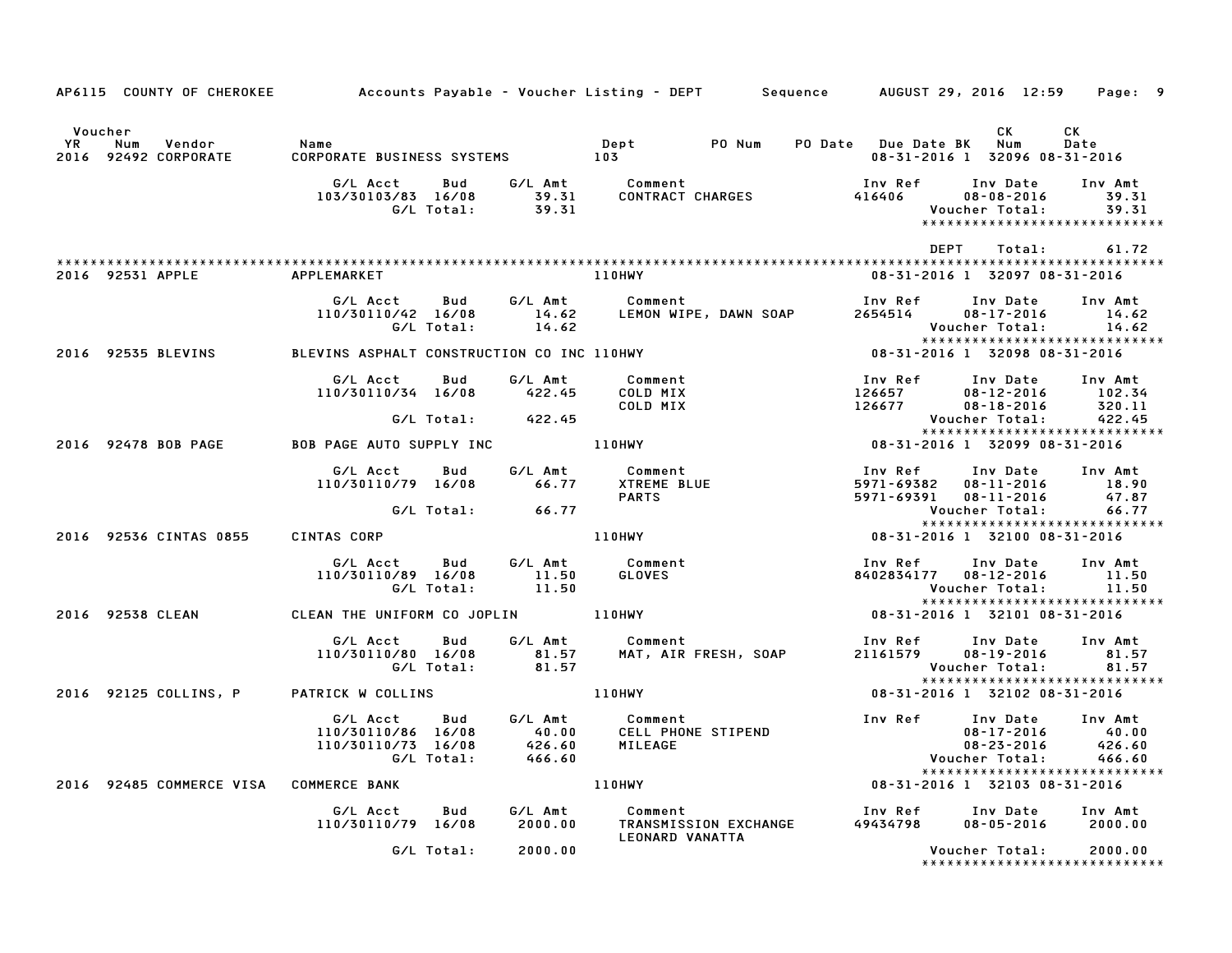| AP6115 COUNTY OF CHEROKEE                                     | Accounts Payable – Voucher Listing – DEPT         Sequence       AUGUST 29, 2016  12:59 |                                      |                                                       |                                     |                                                                                 | Page: 9                              |
|---------------------------------------------------------------|-----------------------------------------------------------------------------------------|--------------------------------------|-------------------------------------------------------|-------------------------------------|---------------------------------------------------------------------------------|--------------------------------------|
| Voucher<br><b>YR</b><br>Num<br>Vendor<br>2016 92492 CORPORATE | Name<br>CORPORATE BUSINESS SYSTEMS 103                                                  |                                      | Dept PONum                                            | PO Date Due Date BK Num             | CK<br>08-31-2016 1 32096 08-31-2016                                             | CK<br>Date                           |
|                                                               | G/L Acct<br>Bud<br>103/30103/83 16/08<br>G/L Total:                                     | 39.31<br>39.31                       | G/L Amt Comment<br>39.31 CONTRACT<br>CONTRACT CHARGES | Inv Ref<br>416406                   | Inv Date<br>$08 - 08 - 2016$<br>Voucher Total:<br>***************************** | Inv Amt<br>39.31<br>39.31            |
|                                                               |                                                                                         |                                      |                                                       |                                     | DEPT<br>Total:                                                                  | 61.72                                |
| 2016 92531 APPLE                                              | APPLEMARKET                                                                             |                                      | <b>110HWY</b>                                         |                                     | 08-31-2016 1 32097 08-31-2016                                                   |                                      |
|                                                               | G/L Acct<br>Bud<br>110/30110/42 16/08<br>G/L Total:                                     | G/L Amt<br>14.62<br>14.62            | Comment<br>LEMON WIPE, DAWN SOAP                      | Inv Ref<br>2654514                  | Inv Date<br>$08 - 17 - 2016$<br>Voucher Total:                                  | Inv Amt<br>14.62<br>14.62            |
| 2016 92535 BLEVINS                                            | BLEVINS ASPHALT CONSTRUCTION CO INC 110HWY                                              |                                      |                                                       |                                     | 08-31-2016 1 32098 08-31-2016                                                   |                                      |
|                                                               | Bud<br>G/L Acct<br>110/30110/34 16/08                                                   | G/L Amt<br>422.45                    | Comment<br>COLD MIX<br>COLD MIX                       | Inv Ref<br>126657<br>126677         | Inv Date<br>$08 - 12 - 2016$<br>$08 - 18 - 2016$                                | Inv Amt<br>102.34<br>320.11          |
|                                                               | G/L Total:                                                                              | 422.45                               |                                                       |                                     | Voucher Total:                                                                  | 422.45                               |
| 2016 92478 BOB PAGE                                           | BOB PAGE AUTO SUPPLY INC                                                                |                                      | 110HWY                                                |                                     | *****************************<br>08-31-2016 1 32099 08-31-2016                  |                                      |
|                                                               | G/L Acct<br>Bud<br>110/30110/79 16/08                                                   | G/L Amt<br>66.77                     | Comment<br><b>XTREME BLUE</b><br><b>PARTS</b>         | Inv Ref<br>5971-69382<br>5971-69391 | Inv Date Inv Amt<br>08-11-2016<br>$08 - 11 - 2016$                              | 18.90<br>47.87                       |
|                                                               | G/L Total:                                                                              | 66.77                                |                                                       |                                     | Voucher Total:<br>*****************************                                 | 66.77                                |
| 2016 92536 CINTAS 0855                                        | CINTAS CORP                                                                             |                                      | 110HWY                                                |                                     | 08-31-2016 1 32100 08-31-2016                                                   |                                      |
|                                                               | G/L Acct<br>Bud<br>110/30110/89 16/08<br>G/L Total:                                     | G/L Amt<br>11.50<br>11.50            | Comment<br>GLOVES                                     | Inv Ref                             | Inv Date<br>8402834177  08-12-2016<br>Voucher Total:                            | Inv Amt<br>11.50<br>11.50            |
| 2016 92538 CLEAN                                              | CLEAN THE UNIFORM CO JOPLIN 110HWY                                                      |                                      |                                                       |                                     | *****************************<br>08-31-2016 1 32101 08-31-2016                  |                                      |
|                                                               | G/L Acct Bud<br>110/30110/80 16/08<br>G/L Total:                                        | G/L Amt<br>81.57<br>81.57            | Comment<br>MAT, AIR FRESH, SOAP                       | Inv Ref<br>21161579                 | Inv Date<br>$08 - 19 - 2016$<br>Voucher Total:                                  | Inv Amt<br>81.57<br>81.57            |
| 2016 92125 COLLINS, P                                         | PATRICK W COLLINS                                                                       |                                      | <b>110HWY</b>                                         |                                     | *****************************<br>08-31-2016 1 32102 08-31-2016                  |                                      |
|                                                               | G/L Acct<br>Bud<br>110/30110/86 16/08<br>110/30110/73 16/08<br>G/L Total:               | G/L Amt<br>40.00<br>426.60<br>466.60 | Comment<br><b>COMMENT</b><br>CELL PHONE STIPEND       | Inv Ref                             | Inv Date<br>$08 - 17 - 2016$<br>$08 - 23 - 2016$<br>Voucher Total:              | Inv Amt<br>40.00<br>426.60<br>466.60 |
| 2016 92485 COMMERCE VISA                                      | <b>COMMERCE BANK</b>                                                                    |                                      | <b>110HWY</b>                                         |                                     | *****************************<br>08-31-2016 1 32103 08-31-2016                  |                                      |
|                                                               | G/L Acct<br><b>Bud</b><br>110/30110/79 16/08                                            | G/L Amt<br>2000.00                   | Comment<br>TRANSMISSION EXCHANGE<br>LEONARD VANATTA   | Inv Ref<br>49434798                 | Inv Date Inv Amt<br>$08 - 05 - 2016$                                            | 2000.00                              |
|                                                               | G/L Total:                                                                              | 2000.00                              |                                                       |                                     | Voucher Total:                                                                  | 2000.00                              |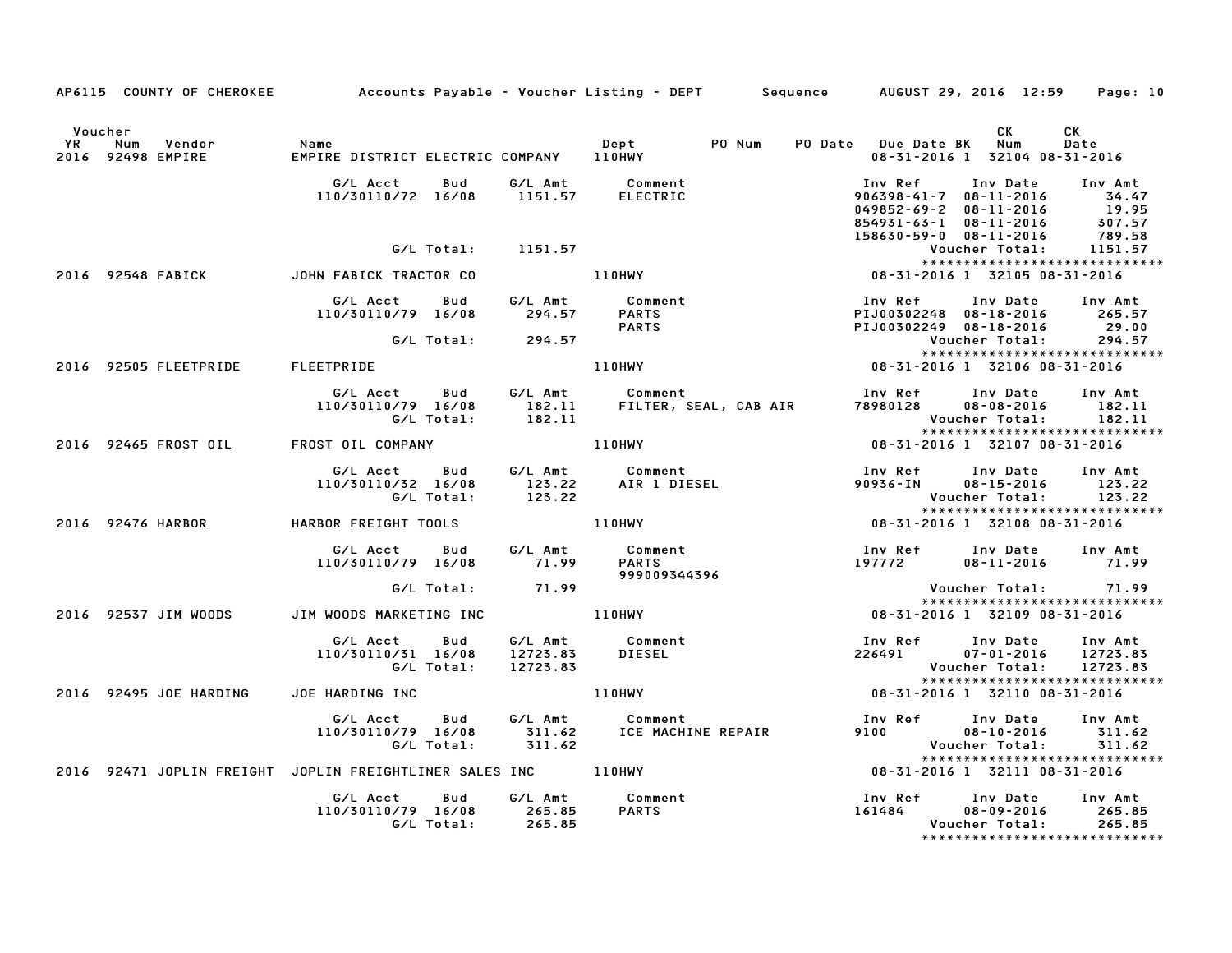|                      |                                  |                                                                                           |                                                                                  | AP6115 COUNTY OF CHEROKEE Accounts Payable – Voucher Listing – DEPT Sequence AUGUST 29, 2016 12:59 Page: 10                              |
|----------------------|----------------------------------|-------------------------------------------------------------------------------------------|----------------------------------------------------------------------------------|------------------------------------------------------------------------------------------------------------------------------------------|
| Voucher<br><b>YR</b> | Num Vendor<br>2016 92498 EMPIRE  | Name                                                                                      | PO Num                                                                           | CK<br>CK<br>PO Date Due Date BK Num<br>Date<br>08-31-2016 1 32104 08-31-2016                                                             |
|                      |                                  | G/L Acct  Bud  G/L Amt  Comment<br>110/30110/72 16/08  1151.57  ELECTRIC                  |                                                                                  | Inv Date<br>Inv Amt<br>Inv Ref<br>906398-41-7 08-11-2016 34.47<br>049852-69-2 08-11-2016 19.95<br>854931-63-1 08-11-2016 307.57          |
|                      |                                  | G/L Total: 1151.57                                                                        |                                                                                  | 789.58<br>158630-59-0 08-11-2016<br>Voucher Total: 1151.57<br>*****************************                                              |
|                      | 2016 92548 FABICK                | JOHN FABICK TRACTOR CO                                                                    | 1151.57<br>110HWY                                                                | 08-31-2016 1 32105 08-31-2016                                                                                                            |
|                      |                                  | ud G/LAmt Comment<br>110/30110/79 16/08 294.57 PARTS<br>294.57 PARTS                      |                                                                                  | Inv Ref      Inv Date     Inv Amt<br>PIJ00302248 08-18-2016 265.57<br>PIJ00302249 08-18-2016 29.00                                       |
|                      |                                  | G/L Total:        294.57                                                                  |                                                                                  | Voucher Total:<br>294.57<br>*****************************                                                                                |
|                      | 2016 92505 FLEETPRIDE FLEETPRIDE |                                                                                           | 110HWY                                                                           | 08-31-2016 1 32106 08-31-2016                                                                                                            |
|                      |                                  | G/L Total: 182.11                                                                         | G/L Acct Bud G/L Amt Comment<br>110/30110/79 16/08 182.11 FILTER, SEAL, CAB AIR  | Inv Ref      Inv Date<br>Inv Amt<br>78980128  08-08-2016  182.11<br>Voucher Total: 182.11                                                |
|                      |                                  | 2016 92465 FROST OIL FROST OIL COMPANY                                                    | 110HWY                                                                           | *****************************<br>08-31-2016 1 32107 08-31-2016                                                                           |
|                      |                                  | G/L Acct Bud<br>110/30110/32 16/08                                                        | Acct Bud G/LAmt Comment<br>110/32 16/08 123.22 AIR 1 DIESEL<br>G/L Total: 123.22 | Inv Ref Inv Date Inv Amt<br>90936-IN 08-15-2016 123.22<br>Voucher Total:<br>123.22<br>*****************************                      |
|                      | 2016 92476 HARBOR                |                                                                                           | HARBOR FREIGHT TOOLS 110HWY                                                      | 08-31-2016 1 32108 08-31-2016                                                                                                            |
|                      |                                  | G/L Acct Bud G/L Amt Comment<br>110/30110/79 16/08 71.99                                  | 999009344396                                                                     | Inv Ref        Inv Date      Inv Amt<br>197772         08–11–2016         71.99                                                          |
|                      |                                  | G/L Total: 71.99                                                                          |                                                                                  | Voucher Total: 71.99<br>******************************<br>08-31-2016 1 32109 08-31-2016<br>08-31-2016 1 32109 08-31-2016                 |
|                      | 2016 92537 JIM WOODS             | JIM WOODS MARKETING INC                                                                   | 110HWY                                                                           |                                                                                                                                          |
|                      |                                  | G/L Acct Bud G/L Amt Comment<br>110/30110/31 16/08 12723.83 DIESEL<br>G/L Total: 12723.83 | <b>DIESEL</b>                                                                    | Inv Ref      Inv Date     Inv Amt<br>226491          07-01-2016     12723.83<br>Voucher Total: 12723.83<br>***************************** |
|                      | 2016 92495 JOE HARDING           | JOE HARDING INC                                                                           |                                                                                  | 110HWY 08-31-2016 1 32110 08-31-2016                                                                                                     |
|                      |                                  | G/L Acct Bud G/L Amt Comment                                                              | 110/30110/79 16/08 311.62 ICE MACHINE REPAIR<br>G/L Total: 311.62                | Inv Ref Inv Date Inv Amt<br>9100 08-10-2016<br>311.62<br>Voucher Total:<br>311.62                                                        |
|                      |                                  | 2016 92471 JOPLIN FREIGHT JOPLIN FREIGHTLINER SALES INC 110HWY                            |                                                                                  | 08-31-2016 1 32111 08-31-2016                                                                                                            |
|                      |                                  | G/L Acct Bud<br>110/30110/79 16/08 265.85<br>G/L Total: 265.85                            | G/L Amt Comment<br><b>PARTS</b>                                                  | Inv Ref Inv Date<br>161484 08-09-2016<br>Inv Amt<br>161484<br>265.85<br>Voucher Total:<br>265.85<br>*****************************        |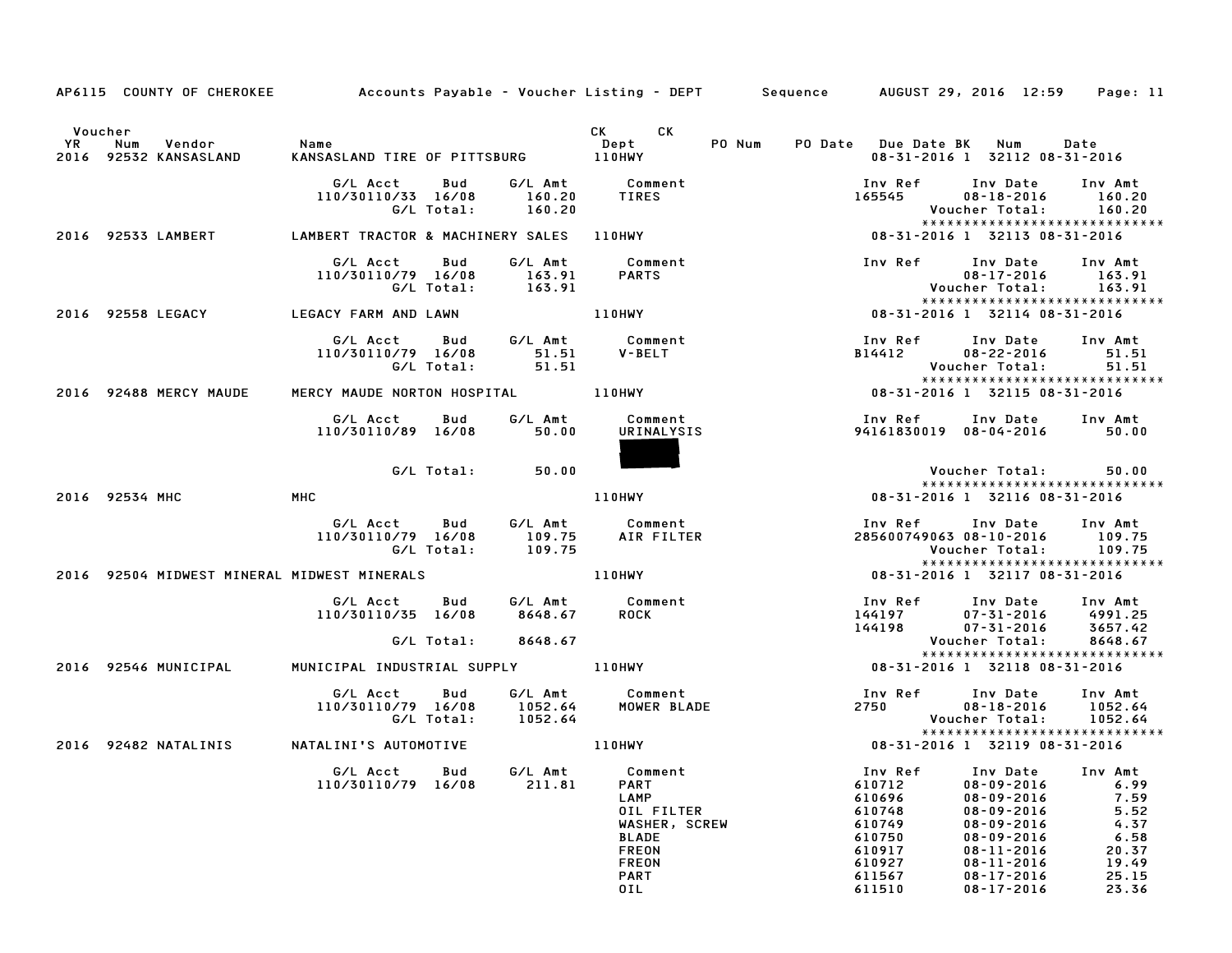|    | AP6115 COUNTY OF CHEROKEE                   |                                              |                                      |                                                                                                                                                                                                                                      | Accounts Payable – Voucher Listing – DEPT       Sequence     AUGUST 29, 2016 12:59                |                                                                                                                                                                                  | Page: 11                                                                            |
|----|---------------------------------------------|----------------------------------------------|--------------------------------------|--------------------------------------------------------------------------------------------------------------------------------------------------------------------------------------------------------------------------------------|---------------------------------------------------------------------------------------------------|----------------------------------------------------------------------------------------------------------------------------------------------------------------------------------|-------------------------------------------------------------------------------------|
|    | Voucher                                     |                                              |                                      | CK<br>CK the control of the control of the control of the control of the control of the control of the control of the control of the control of the control of the control of the control of the control of the control of the contr |                                                                                                   |                                                                                                                                                                                  |                                                                                     |
| YR | Num<br>Vendor<br>2016 92532 KANSASLAND      | Name<br>KANSASLAND TIRE OF PITTSBURG 110HWY  |                                      | Dept<br>PO Num                                                                                                                                                                                                                       | PO Date Due Date BK Num                                                                           | 08-31-2016 1 32112 08-31-2016                                                                                                                                                    | Date                                                                                |
|    |                                             | G/L Acct<br>110/30110/33 16/08<br>G/L Total: | Bud<br>G/L Amt<br>160.20<br>160.20   | Comment<br><b>TIRES</b>                                                                                                                                                                                                              | Inv Ref<br>165545                                                                                 | Inv Date<br>$08 - 18 - 2016$<br>Voucher Total:                                                                                                                                   | Inv Amt<br>160.20<br>160.20                                                         |
|    | 2016 92533 LAMBERT                          | LAMBERT TRACTOR & MACHINERY SALES            |                                      | 110HWY                                                                                                                                                                                                                               |                                                                                                   | ******************************<br>08-31-2016 1 32113 08-31-2016                                                                                                                  |                                                                                     |
|    |                                             | G/L Acct<br>110/30110/79 16/08<br>G/L Total: | G/L Amt<br>Bud<br>163.91<br>163.91   | Comment<br><b>PARTS</b>                                                                                                                                                                                                              | Inv Ref                                                                                           | Inv Date<br>$08 - 17 - 2016$<br>Voucher Total:<br>*****************************                                                                                                  | Inv Amt<br>163.91<br>163.91                                                         |
|    | 2016 92558 LEGACY                           | LEGACY FARM AND LAWN                         |                                      | 110HWY                                                                                                                                                                                                                               |                                                                                                   | 08-31-2016 1 32114 08-31-2016                                                                                                                                                    |                                                                                     |
|    |                                             | G/L Acct<br>110/30110/79 16/08<br>G/L Total: | Bud<br>G/L Amt<br>51.51<br>51.51     | Comment<br><b>V-BELT</b>                                                                                                                                                                                                             | Inv Ref<br>B14412                                                                                 | Inv Date<br>$08 - 22 - 2016$<br>Voucher Total:<br>*****************************                                                                                                  | Inv Amt<br>51.51<br>51.51                                                           |
|    | 2016 92488 MERCY MAUDE                      | MERCY MAUDE NORTON HOSPITAL 110HWY           |                                      |                                                                                                                                                                                                                                      |                                                                                                   | 08-31-2016 1 32115 08-31-2016                                                                                                                                                    |                                                                                     |
|    |                                             | G/L Acct<br>110/30110/89 16/08               | Bud<br>50.00                         | G/L Amt Comment<br>URINALYSIS                                                                                                                                                                                                        | 94161830019 08-04-2016                                                                            | Inv Ref      Inv Date                                                                                                                                                            | Inv Amt<br>50.00                                                                    |
|    |                                             | G/L Total:                                   | 50.00                                |                                                                                                                                                                                                                                      |                                                                                                   | Voucher Total:<br>*****************************                                                                                                                                  | 50.00                                                                               |
|    | 2016 92534 MHC                              | MHC                                          |                                      | <b>110HWY</b>                                                                                                                                                                                                                        |                                                                                                   | 08-31-2016 1 32116 08-31-2016                                                                                                                                                    |                                                                                     |
|    |                                             | G/L Acct<br>110/30110/79 16/08<br>G/L Total: | G/L Amt<br>Bud<br>109.75<br>109.75   | Comment<br>AIR FILTER                                                                                                                                                                                                                | Inv Ref<br>285600749063 08-10-2016                                                                | Inv Date<br>Voucher Total:<br>*****************************                                                                                                                      | Inv Amt<br>109.75<br>109.75                                                         |
|    | 2016 92504 MIDWEST MINERAL MIDWEST MINERALS |                                              |                                      | <b>110HWY</b>                                                                                                                                                                                                                        |                                                                                                   | 08-31-2016 1 32117 08-31-2016                                                                                                                                                    |                                                                                     |
|    |                                             | G/L Acct<br>110/30110/35 16/08               | Bud G/L Amt Comment<br>8648.67       | <b>ROCK</b>                                                                                                                                                                                                                          | Inv Ref<br>144197<br>144198<br>144198                                                             | Inv Date<br>07-31-2016<br>07-31-2016                                                                                                                                             | Inv Amt<br>4991.25<br>3657.42                                                       |
|    |                                             | G/L Total:                                   | 8648.67                              |                                                                                                                                                                                                                                      |                                                                                                   | Voucher Total:<br>*****************************                                                                                                                                  | 8648.67                                                                             |
|    | 2016 92546 MUNICIPAL                        | MUNICIPAL INDUSTRIAL SUPPLY 110HWY           |                                      |                                                                                                                                                                                                                                      |                                                                                                   | 08-31-2016 1 32118 08-31-2016                                                                                                                                                    |                                                                                     |
|    |                                             | G/L Acct<br>110/30110/79 16/08<br>G/L Total: | Bud<br>G/L Amt<br>1052.64<br>1052.64 | Comment<br>MOWER BLADE                                                                                                                                                                                                               | Inv Ref<br>2750                                                                                   | Inv Date<br>$08 - 18 - 2016$<br>Voucher Total:                                                                                                                                   | Inv Amt<br>1052.64<br>1052.64                                                       |
|    | 2016 92482 NATALINIS                        | NATALINI'S AUTOMOTIVE                        |                                      | 110HWY                                                                                                                                                                                                                               |                                                                                                   | *****************************<br>08-31-2016 1 32119 08-31-2016                                                                                                                   |                                                                                     |
|    |                                             | G/L Acct<br>110/30110/79                     | Bud<br>G/L Amt<br>211.81<br>16/08    | Comment<br><b>PART</b><br>LAMP<br>OIL FILTER<br>WASHER, SCREW<br><b>BLADE</b><br><b>FREON</b><br><b>FREON</b><br>PART<br>OIL                                                                                                         | Inv Ref<br>610712<br>610696<br>610748<br>610749<br>610750<br>610917<br>610927<br>611567<br>611510 | Inv Date<br>$08 - 09 - 2016$<br>$08 - 09 - 2016$<br>08-09-2016<br>$08 - 09 - 2016$<br>$08 - 09 - 2016$<br>08-11-2016<br>$08 - 11 - 2016$<br>$08 - 17 - 2016$<br>$08 - 17 - 2016$ | Inv Amt<br>6.99<br>7.59<br>5.52<br>4.37<br>6.58<br>20.37<br>19.49<br>25.15<br>23.36 |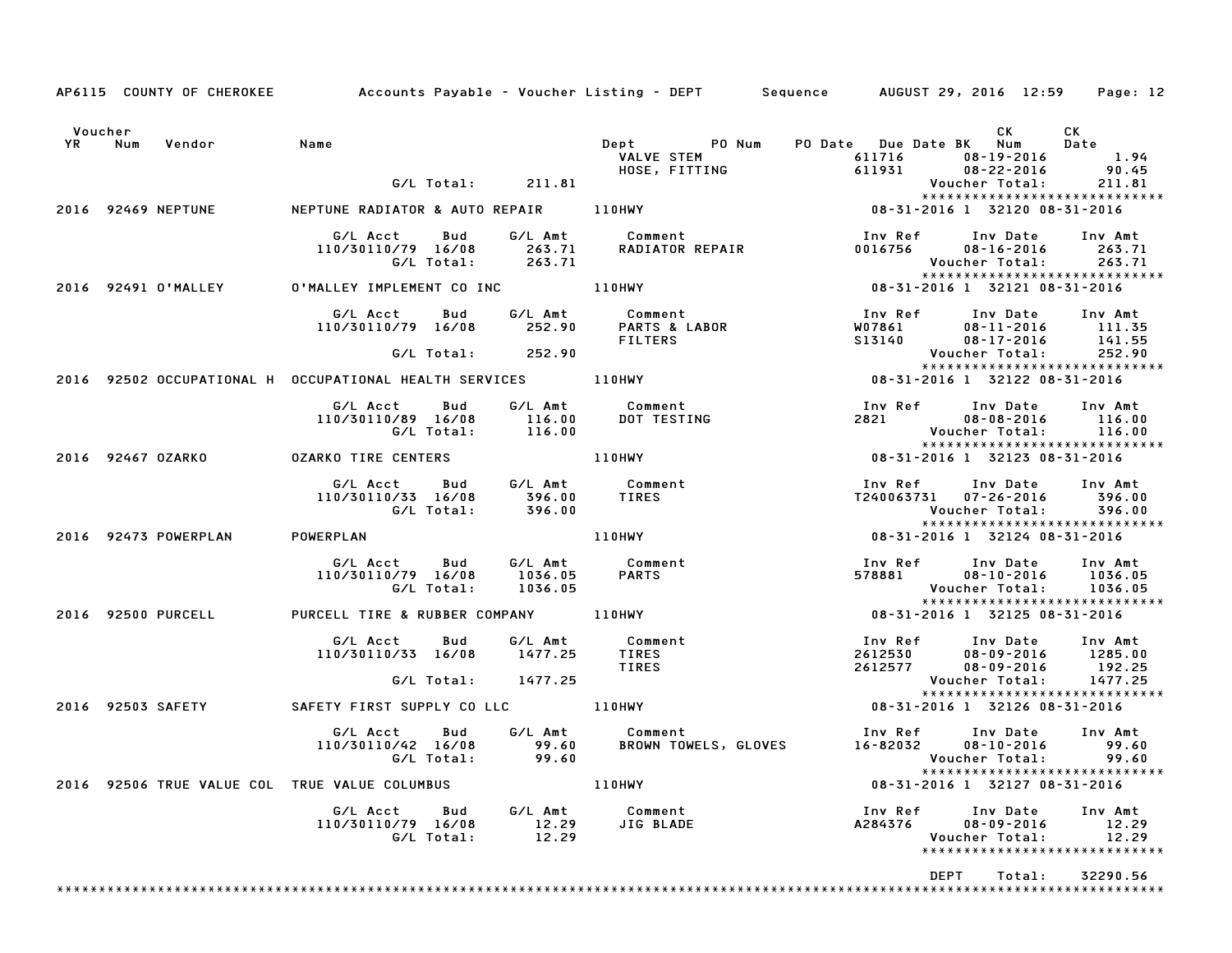|                   |                      |                                                                  |     |                               | AP6115 COUNTY OF CHEROKEE Accounts Payable - Voucher Listing - DEPT Sequence AUGUST 29, 2016 12:59 Page: 12 |                                     |                                                                                 |                                                        |        |                                                                         |
|-------------------|----------------------|------------------------------------------------------------------|-----|-------------------------------|-------------------------------------------------------------------------------------------------------------|-------------------------------------|---------------------------------------------------------------------------------|--------------------------------------------------------|--------|-------------------------------------------------------------------------|
| Voucher<br>YR Num | Vendor Name          |                                                                  |     |                               | Dept PO Num<br><b>DEPL<br/>VALVE STEM<br/>HOSE, FITTING</b>                                                 |                                     | PO Date Due Date BK Num<br>num<br>11716 - 19-2016 - 18-19<br>11931 - 18-22-2016 | <b>CK</b>                                              |        | CK<br><b>Date</b><br>1.94<br>90.45                                      |
|                   |                      |                                                                  |     | G/L Total: 211.81             |                                                                                                             |                                     |                                                                                 | Voucher Total:                                         |        | 211.81<br>*****************************                                 |
|                   | 2016 92469 NEPTUNE   | NEPTUNE RADIATOR & AUTO REPAIR 110HWY                            |     |                               |                                                                                                             | $08 - 31 - 2016$ 1 32120 08-31-2016 |                                                                                 |                                                        |        |                                                                         |
|                   |                      |                                                                  |     |                               | G/L Acct  Bud  G/L Amt  Comment<br>110/30110/79 16/08  263.71  RADIATOR REPAIR<br>G/L Total:  263.71        |                                     | Inv Ref Inv Date<br>0016756 08–16–2016                                          | Voucher Total:                                         |        | Inv Amt<br>263.71<br>263.71<br>******************************           |
|                   | 2016 92491 O'MALLEY  | 0'MALLEY IMPLEMENT CO INC 110HWY                                 |     |                               |                                                                                                             |                                     | $08 - 31 - 2016$ 1 32121 08-31-2016                                             |                                                        |        |                                                                         |
|                   |                      |                                                                  |     | G/L Total: 252.90             | G/L Acct Bud G/L Amt Comment<br>110/30110/79 16/08 252.90 PARTS & LABOR<br>FILTERS                          |                                     | Inv Ref<br>W07861<br>S13140<br>S13140                                           | Inv Date<br>08-11-2016<br>08-17-2016<br>Voucher Total: |        | Inv Amt<br>111.35<br>141.55<br>252.90                                   |
|                   |                      | 2016 92502 OCCUPATIONAL H OCCUPATIONAL HEALTH SERVICES 110HWY    |     |                               |                                                                                                             | $08 - 31 - 2016$ 1 32122 08-31-2016 |                                                                                 |                                                        |        | *****************************                                           |
|                   |                      | G/L Acct<br>110/30110/89 16/08                                   | Bud | 116.00<br>G/L Total: 116.00   | G/L Amt Comment<br>DOT TESTING                                                                              |                                     | Inv Ref      Inv Date<br>2821 28                                                | $08 - 08 - 2016$                                       |        | Inv Amt<br>116.00<br>Voucher Total: 116.00                              |
|                   | 2016 92467 OZARKO    | <b>OZARKO TIRE CENTERS</b>                                       |     |                               | <b>110HWY</b>                                                                                               |                                     | 08-31-2016 1 32123 08-31-2016                                                   |                                                        |        | *****************************                                           |
|                   |                      | 110/30110/33 16/08 396.00<br>G/L Total: 396.00                   |     |                               | G/L Acct Bud G/L Amt Comment<br><b>Comment<br/>TIRES</b>                                                    |                                     | Inv Ref Inv Date Inv Amt<br>T240063731 07-26-2016 396.00                        |                                                        |        | Voucher Total: 396.00<br>*****************************                  |
|                   | 2016 92473 POWERPLAN | POWERPLAN                                                        |     |                               | 110HWY                                                                                                      |                                     | 08-31-2016 1 32124 08-31-2016                                                   |                                                        |        |                                                                         |
|                   |                      | G/L Acct Bud<br>110/30110/79 16/08<br>G/L Total:                 |     | G/L Amt<br>1036.05<br>1036.05 | Comment<br><b>PARTS</b>                                                                                     |                                     | Inv Ref<br>578881                                                               | Inv Date<br>$08 - 10 - 2016$                           |        | Inv Amt<br>1036.05<br>Voucher Total: 1036.05                            |
|                   | 2016 92500 PURCELL   | PURCELL TIRE & RUBBER COMPANY 110HWY                             |     |                               |                                                                                                             |                                     | 08-31-2016 1 32125 08-31-2016                                                   |                                                        |        |                                                                         |
|                   |                      | G/L Acct Bud G/L Amt Comment<br>110/30110/33 16/08 1477.25 TIRES |     | G/L Total: 1477.25            | <b>TIRES</b>                                                                                                |                                     | Inv Ref<br>2612530<br>2612577                                                   | Inv Date<br>$08 - 09 - 2016$                           |        | Inv Amt<br>$08 - 09 - 2016$ 1285.00<br>192.25<br>Voucher Total: 1477.25 |
|                   |                      | 2016 92503 SAFETY SAFETY FIRST SUPPLY CO LLC 110HWY              |     |                               |                                                                                                             |                                     | 08-31-2016 1 32126 08-31-2016                                                   |                                                        |        | ******************************                                          |
|                   |                      | G/L Acct Bud<br>110/30110/42 16/08 99.60<br>G/L Total: 99.60     |     |                               | G/L Amt Comment                                                                                             |                                     |                                                                                 | Voucher Total:                                         |        | 08-10-2016 99.60<br>99.60<br>*****************************              |
|                   |                      | 2016 92506 TRUE VALUE COL TRUE VALUE COLUMBUS                    |     |                               | <b>110HWY</b>                                                                                               |                                     | 08-31-2016 1 32127 08-31-2016                                                   |                                                        |        |                                                                         |
|                   |                      |                                                                  |     |                               | G/L Acct Bud G/L Amt Comment<br>110/30110/79 16/08 12.29 JIG BLADE<br>G/L Total: 12.29                      |                                     | Inv Ref Inv Date<br>A284376                                                     | $08 - 09 - 2016$<br>Voucher Total:                     |        | Inv Amt<br>12.29<br>12.29                                               |
|                   |                      |                                                                  |     |                               |                                                                                                             |                                     |                                                                                 | DEPT                                                   | Total: | 32290.56                                                                |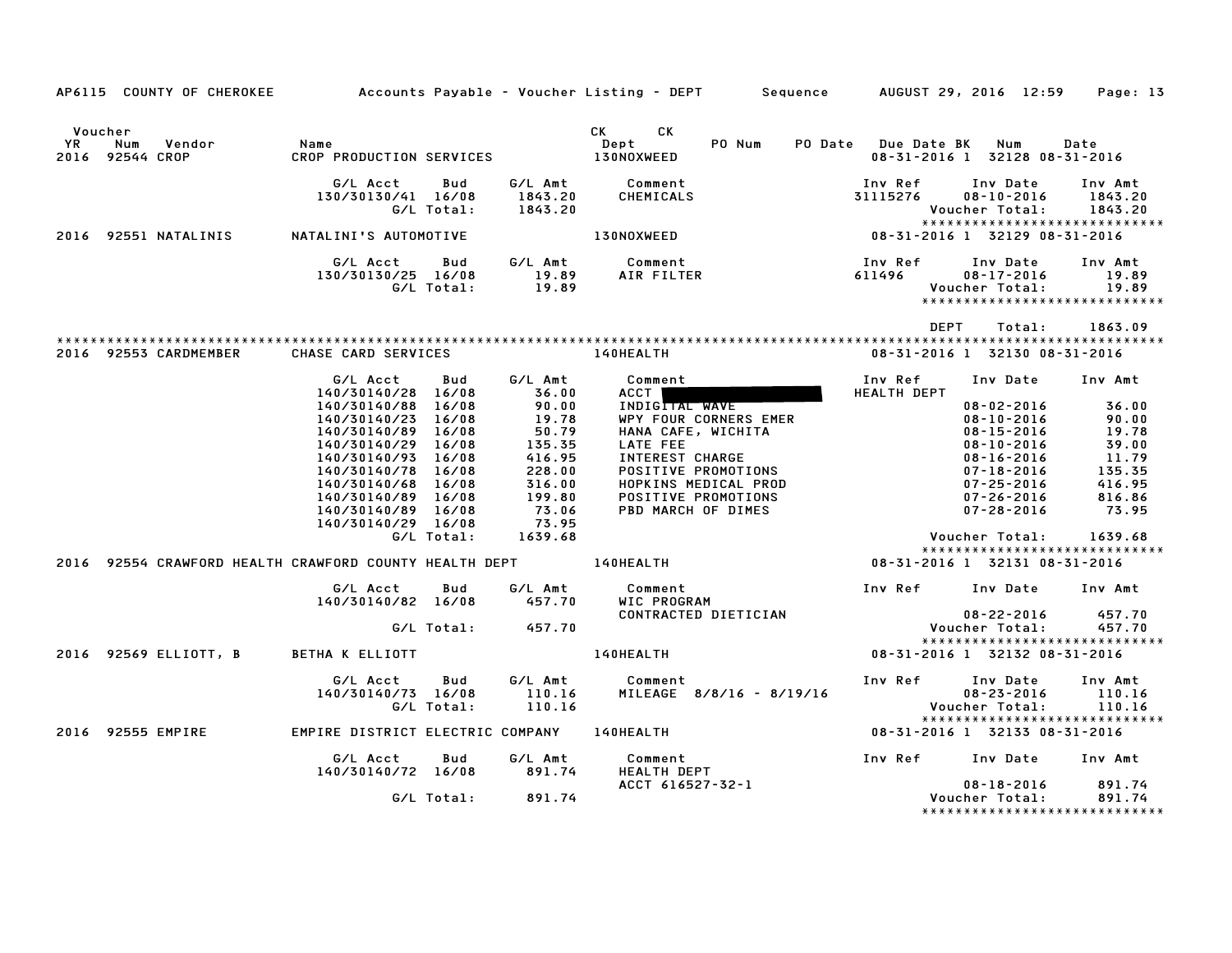| AP6115 COUNTY OF CHEROKEE Accounts Payable - Voucher Listing - DEPT Sequence AUGUST 29, 2016 12:59 Page: 13                                                                                                                             |  |                   |                                                                                                                                                                                                                                     |             |                                                        |                               |
|-----------------------------------------------------------------------------------------------------------------------------------------------------------------------------------------------------------------------------------------|--|-------------------|-------------------------------------------------------------------------------------------------------------------------------------------------------------------------------------------------------------------------------------|-------------|--------------------------------------------------------|-------------------------------|
| Voucher<br>YR Num Vendor – Name – Name – Dept – PO-Num PO-Date Due-Date-BK Num Date<br>2016 92544 CROP – CROP-PRODUCTION-SERVICES – 130NOXWEED – 130NOXWEED – 130NOXWEED – 198-31-2016 1                                                |  |                   |                                                                                                                                                                                                                                     |             | 08-31-2016 1 32128 08-31-2016                          |                               |
| 6/L Acct Bud G/L Amt Comment Inv Ref Inv Date Inv Amt<br>130/30130/41 16/08 1843.20 CHEMICALS 31115276 08-10-2016 1843.20<br>6/L Total: 1843.20 Voucher Total: 1843.20<br>2016 92551NATALINI'S AUTOMOTIVE 130NOXWEED 130NOXWEED 08-31-2 |  |                   |                                                                                                                                                                                                                                     |             |                                                        |                               |
|                                                                                                                                                                                                                                         |  |                   |                                                                                                                                                                                                                                     |             |                                                        |                               |
|                                                                                                                                                                                                                                         |  |                   | G/L Acct Bud G/L Amt Comment Inv Ref Inv Date Inv Amt<br>130/30130/25 16/08 19.89 AIR FILTER 611496 08–17–2016 19.89<br>G/L Total: 19.89 17.89 Voucher Total: 19.89                                                                 |             |                                                        |                               |
|                                                                                                                                                                                                                                         |  |                   |                                                                                                                                                                                                                                     | <b>DEPT</b> |                                                        | Total: 1863.09                |
| 2016 92553 CARDMEMBER CHASE CARD SERVICES AND RESIDENCE LAGHEALTH                                                                                                                                                                       |  |                   |                                                                                                                                                                                                                                     |             | 08-31-2016 1 32130 08-31-2016                          |                               |
|                                                                                                                                                                                                                                         |  |                   | Comment<br>ACCT<br>INDICTIAL WAVE THEALTH DEPT<br>INDICTIAL WAVE<br>G/L Acct      Bud      G/L Amt         Comment                                                                                                                  |             |                                                        |                               |
|                                                                                                                                                                                                                                         |  |                   |                                                                                                                                                                                                                                     |             |                                                        |                               |
|                                                                                                                                                                                                                                         |  |                   |                                                                                                                                                                                                                                     |             |                                                        |                               |
|                                                                                                                                                                                                                                         |  |                   |                                                                                                                                                                                                                                     |             |                                                        |                               |
|                                                                                                                                                                                                                                         |  |                   |                                                                                                                                                                                                                                     |             |                                                        |                               |
|                                                                                                                                                                                                                                         |  |                   |                                                                                                                                                                                                                                     |             |                                                        |                               |
|                                                                                                                                                                                                                                         |  |                   |                                                                                                                                                                                                                                     |             |                                                        |                               |
|                                                                                                                                                                                                                                         |  |                   |                                                                                                                                                                                                                                     |             |                                                        |                               |
|                                                                                                                                                                                                                                         |  |                   |                                                                                                                                                                                                                                     |             |                                                        |                               |
|                                                                                                                                                                                                                                         |  |                   |                                                                                                                                                                                                                                     |             |                                                        |                               |
|                                                                                                                                                                                                                                         |  |                   |                                                                                                                                                                                                                                     |             |                                                        |                               |
|                                                                                                                                                                                                                                         |  |                   | $[40/30140/28$ 16/08 $16/08$ 16/08 $16/08$ 16/08 $16/08$ 16/08 $16/08$ 16/08 $16/08$ 16/08$ 16/08$ 16/08$ 16/08$ 16/08$ 16/08$ 16/08$ 16/08$ 16/08$ 16/08$ 16/08$ 16/08$ 16/08$ 16/08$ 16/08$ 16/08$ 16/08$ 16/08$ 16/08$ 16/08$ 1$ |             |                                                        |                               |
|                                                                                                                                                                                                                                         |  |                   |                                                                                                                                                                                                                                     |             | *****************************                          |                               |
|                                                                                                                                                                                                                                         |  |                   |                                                                                                                                                                                                                                     |             |                                                        |                               |
|                                                                                                                                                                                                                                         |  |                   | G/L Acct      Bud       G/L Amt         Comment                             Inv Ref      Inv Date     Inv Amt<br>140/30140/82   16/08        457.70      WIC PROGRAM                                                                |             |                                                        |                               |
|                                                                                                                                                                                                                                         |  |                   |                                                                                                                                                                                                                                     |             |                                                        |                               |
|                                                                                                                                                                                                                                         |  | G/L Total: 457.70 |                                                                                                                                                                                                                                     |             |                                                        |                               |
|                                                                                                                                                                                                                                         |  |                   |                                                                                                                                                                                                                                     |             |                                                        | ***************************** |
| 2016 92569 ELLIOTT, B BETHA K ELLIOTT 140HEALTH 140HEALTH 08-31-2016 1 32132 08-31-2016                                                                                                                                                 |  |                   |                                                                                                                                                                                                                                     |             |                                                        |                               |
|                                                                                                                                                                                                                                         |  |                   |                                                                                                                                                                                                                                     |             |                                                        |                               |
|                                                                                                                                                                                                                                         |  |                   |                                                                                                                                                                                                                                     |             |                                                        |                               |
|                                                                                                                                                                                                                                         |  |                   |                                                                                                                                                                                                                                     |             |                                                        |                               |
|                                                                                                                                                                                                                                         |  |                   |                                                                                                                                                                                                                                     |             |                                                        |                               |
| 2016 92555 EMPIRE EMPIRE DISTRICT ELECTRIC COMPANY 140HEALTH 2016 2016 1 32133 08-31-2016                                                                                                                                               |  |                   |                                                                                                                                                                                                                                     |             |                                                        |                               |
|                                                                                                                                                                                                                                         |  |                   | G/L Acct Bud G/L Amt Comment Inv Ref Inv Date Inv Amt<br>140/30140/72 16/08 891.74 HEALTH DEPT 140/30140/72 16/08 891.74<br>6/L Total: 891.74 ACCT 616527–32–1 Voucher Total: 891.74                                                |             |                                                        |                               |
|                                                                                                                                                                                                                                         |  |                   |                                                                                                                                                                                                                                     |             | 08-18-2016 891.74                                      |                               |
|                                                                                                                                                                                                                                         |  | G/L Total: 891.74 |                                                                                                                                                                                                                                     |             | Voucher Total: 891.74<br>***************************** |                               |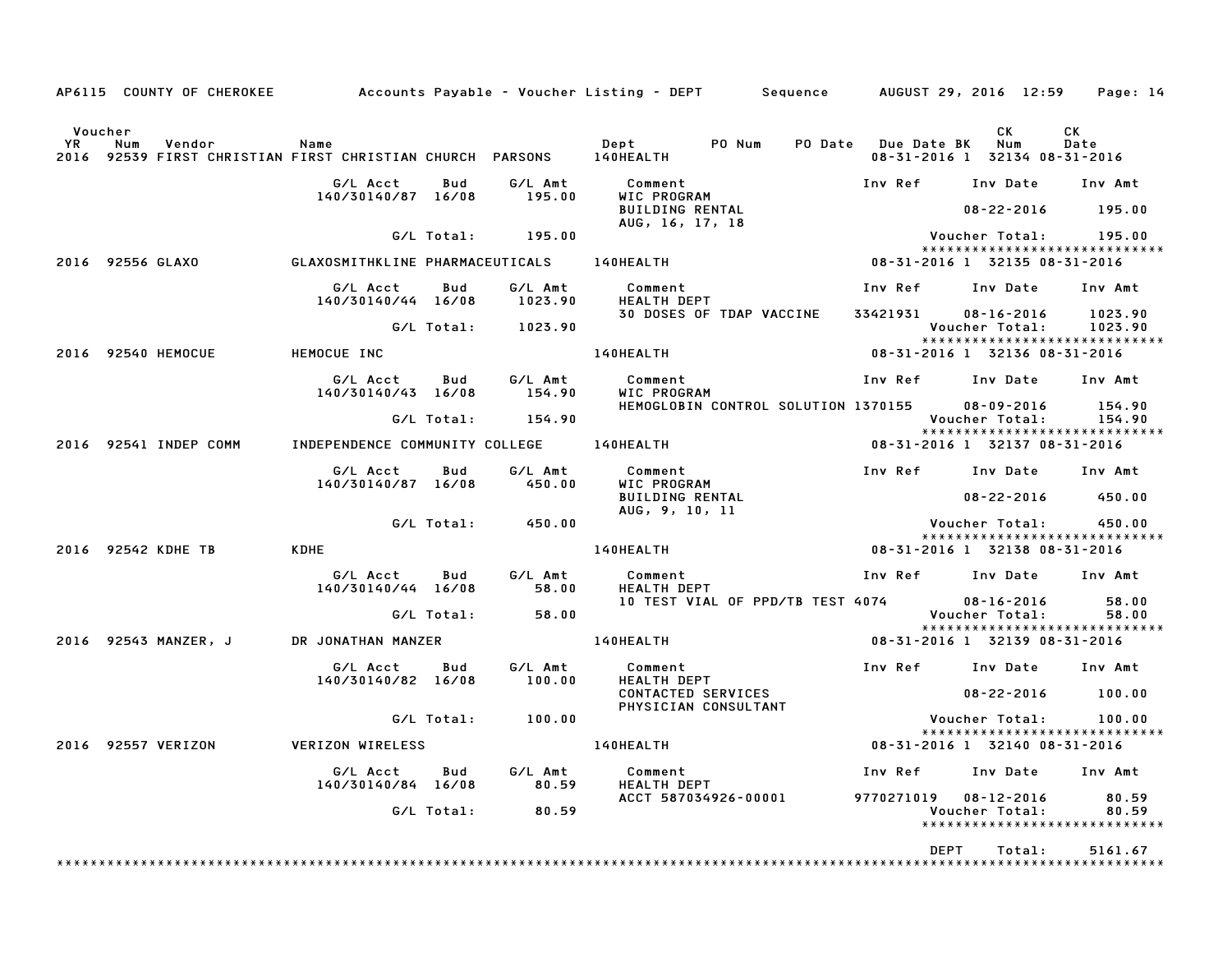|                              |                  | AP6115 COUNTY OF CHEROKEE |                                                              |            |                    | Accounts Payable – Voucher Listing – DEPT         Sequence       AUGUST 29, 2016 12:59 |                     |                                                                           | Page: 14           |
|------------------------------|------------------|---------------------------|--------------------------------------------------------------|------------|--------------------|----------------------------------------------------------------------------------------|---------------------|---------------------------------------------------------------------------|--------------------|
| Voucher<br><b>YR</b><br>2016 | Num              | Vendor                    | Name<br>92539 FIRST CHRISTIAN FIRST CHRISTIAN CHURCH PARSONS |            |                    | Dept<br>PO Num<br><b>140HEALTH</b>                                                     | PO Date Due Date BK | CK<br>Num<br>08-31-2016 1 32134 08-31-2016                                | <b>CK</b><br>Date  |
|                              |                  |                           | G/L Acct<br>140/30140/87 16/08                               | Bud        | G/L Amt<br>195.00  | Comment<br>WIC PROGRAM<br><b>BUILDING RENTAL</b>                                       | Inv Ref             | Inv Date<br>$08 - 22 - 2016$                                              | Inv Amt<br>195.00  |
|                              |                  |                           |                                                              | G/L Total: | 195.00             | AUG, 16, 17, 18                                                                        |                     | Voucher Total:                                                            | 195.00             |
|                              | 2016 92556 GLAXO |                           | GLAXOSMITHKLINE PHARMACEUTICALS                              |            |                    | <b>140HEALTH</b>                                                                       |                     | *****************************<br>08-31-2016 1 32135 08-31-2016            |                    |
|                              |                  |                           | G/L Acct<br>140/30140/44 16/08                               | Bud        | G/L Amt<br>1023.90 | Comment<br><b>HEALTH DEPT</b>                                                          | Inv Ref             | Inv Date                                                                  | Inv Amt            |
|                              |                  |                           |                                                              | G/L Total: | 1023.90            | 30 DOSES OF TDAP VACCINE                                                               | 33421931            | $08 - 16 - 2016$<br>Voucher Total:<br>*****************************       | 1023.90<br>1023.90 |
|                              |                  | 2016 92540 HEMOCUE        | HEMOCUE INC                                                  |            |                    | 140HEALTH                                                                              |                     | 08-31-2016 1 32136 08-31-2016                                             |                    |
|                              |                  |                           | G/L Acct<br>140/30140/43 16/08                               | Bud        | G/L Amt<br>154.90  | Comment<br>WIC PROGRAM                                                                 | Inv Ref             | Inv Date                                                                  | Inv Amt            |
|                              |                  |                           |                                                              | G/L Total: | 154.90             | HEMOGLOBIN CONTROL SOLUTION 1370155                                                    |                     | $08 - 09 - 2016$<br>Voucher Total:                                        | 154.90<br>154.90   |
|                              |                  | 2016 92541 INDEP COMM     | INDEPENDENCE COMMUNITY COLLEGE                               |            |                    | 140HEALTH                                                                              |                     | *****************************<br>08-31-2016 1 32137 08-31-2016            |                    |
|                              |                  |                           | G/L Acct<br>140/30140/87 16/08                               | Bud        | G/L Amt<br>450.00  | Comment<br>WIC PROGRAM<br><b>BUILDING RENTAL</b>                                       | Inv Ref             | Inv Date<br>$08 - 22 - 2016$                                              | Inv Amt<br>450.00  |
|                              |                  |                           |                                                              | G/L Total: | 450.00             | AUG, 9, 10, 11                                                                         |                     | Voucher Total:                                                            | 450.00             |
|                              |                  | 2016 92542 KDHE TB        | <b>KDHE</b>                                                  |            |                    | 140HEALTH                                                                              |                     | *****************************<br>08-31-2016 1 32138 08-31-2016            |                    |
|                              |                  |                           | G/L Acct<br>140/30140/44 16/08                               | Bud        | G/L Amt<br>58.00   | Comment<br>HEALTH DEPT                                                                 | Inv Ref             | Inv Date                                                                  | Inv Amt            |
|                              |                  |                           |                                                              | G/L Total: | 58.00              | 10 TEST VIAL OF PPD/TB TEST 4074                                                       |                     | $08 - 16 - 2016$<br>Voucher Total:                                        | 58.00<br>58.00     |
|                              |                  | 2016 92543 MANZER, J      | DR JONATHAN MANZER                                           |            |                    | 140HEALTH                                                                              |                     | *****************************<br>08-31-2016 1 32139 08-31-2016            |                    |
|                              |                  |                           | G/L Acct<br>140/30140/82 16/08                               | Bud        | G/L Amt<br>100.00  | Comment<br><b>HEALTH DEPT</b>                                                          | Inv Ref             | Inv Date                                                                  | Inv Amt            |
|                              |                  |                           |                                                              |            |                    | CONTACTED SERVICES<br>PHYSICIAN CONSULTANT                                             |                     | $08 - 22 - 2016$                                                          | 100.00             |
|                              |                  |                           |                                                              | G/L Total: | 100.00             |                                                                                        |                     | Voucher Total:<br>*****************************                           | 100.00             |
|                              |                  | 2016 92557 VERIZON        | <b>VERIZON WIRELESS</b>                                      |            |                    | 140HEALTH                                                                              |                     | 08-31-2016 1 32140 08-31-2016                                             |                    |
|                              |                  |                           | G/L Acct<br>140/30140/84 16/08                               | Bud        | G/L Amt<br>80.59   | Comment<br><b>HEALTH DEPT</b>                                                          | Inv Ref             | Inv Date                                                                  | Inv Amt            |
|                              |                  |                           |                                                              | G/L Total: | 80.59              | ACCT 587034926-00001                                                                   |                     | 9770271019  08-12-2016<br>Voucher Total:<br>***************************** | 80.59<br>80.59     |
|                              |                  |                           |                                                              |            |                    |                                                                                        | <b>DEPT</b>         | Total:                                                                    | 5161.67            |
|                              |                  |                           |                                                              |            |                    |                                                                                        |                     |                                                                           |                    |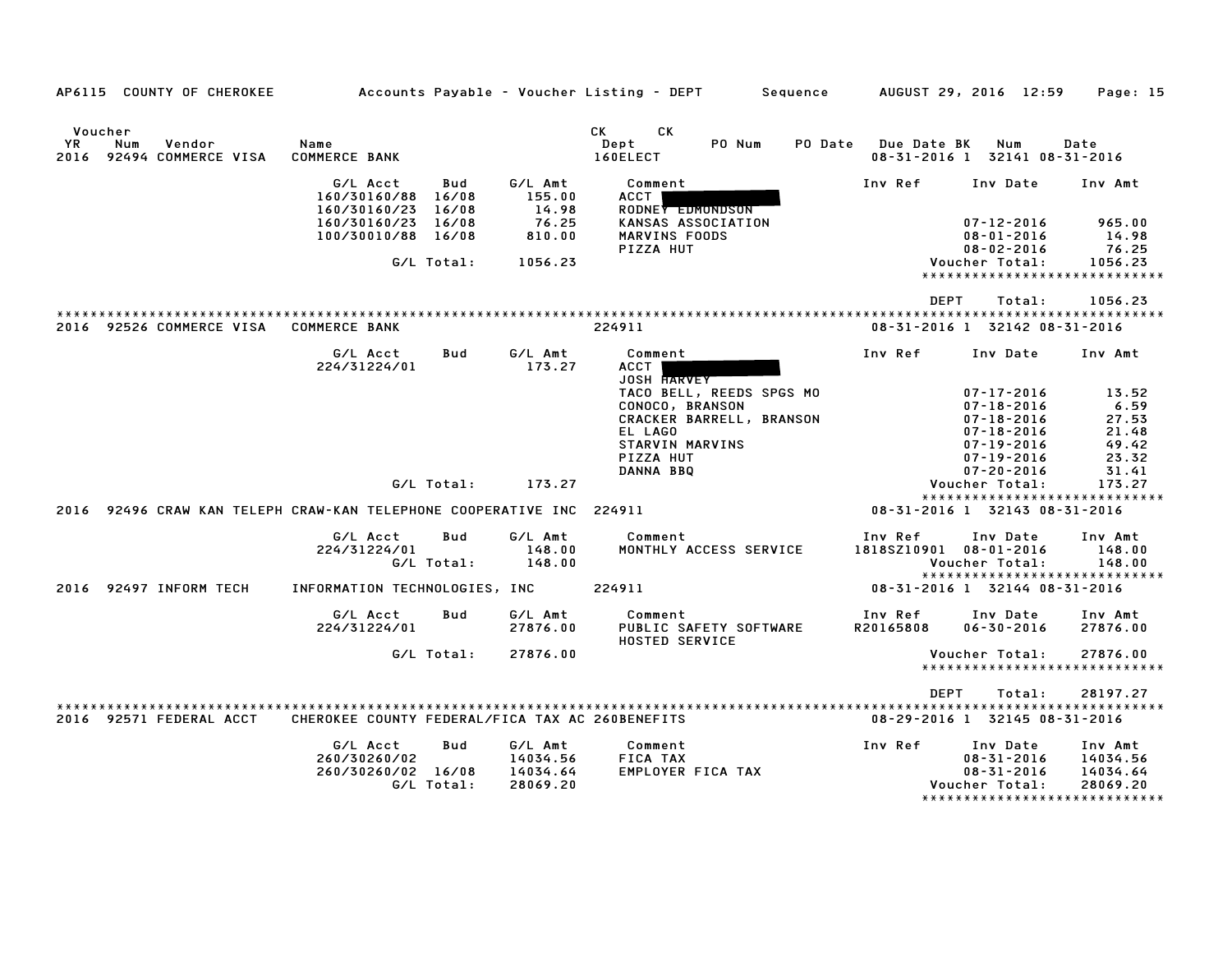| AP6115 COUNTY OF CHEROKEE                                            |                                                                                |                                              |                                                          | Accounts Payable – Voucher Listing – DEPT                                                                                       |        | Sequence       |                                   | AUGUST 29, 2016 12:59                                                                                                                    | Page: 15                                                                        |
|----------------------------------------------------------------------|--------------------------------------------------------------------------------|----------------------------------------------|----------------------------------------------------------|---------------------------------------------------------------------------------------------------------------------------------|--------|----------------|-----------------------------------|------------------------------------------------------------------------------------------------------------------------------------------|---------------------------------------------------------------------------------|
|                                                                      |                                                                                |                                              |                                                          |                                                                                                                                 |        |                |                                   |                                                                                                                                          |                                                                                 |
| Voucher<br>YR<br>Num<br>Vendor<br>2016<br>92494 COMMERCE VISA        | Name<br><b>COMMERCE BANK</b>                                                   |                                              |                                                          | CK<br>CK<br>Dept<br>160ELECT                                                                                                    | PO Num | <b>PO</b> Date | Due Date BK                       | Num<br>08-31-2016 1 32141 08-31-2016                                                                                                     | Date                                                                            |
|                                                                      | G/L Acct<br>160/30160/88<br>160/30160/23<br>160/30160/23<br>100/30010/88 16/08 | Bud<br>16/08<br>16/08<br>16/08<br>G/L Total: | G/L Amt<br>155.00<br>14.98<br>76.25<br>810.00<br>1056.23 | Comment<br>ACCT<br>RODNEY EDMONDSON<br>KANSAS ASSOCIATION<br>MARVINS FOODS<br>PIZZA HUT                                         |        |                | Inv Ref                           | Inv Date<br>$07 - 12 - 2016$<br>$08 - 01 - 2016$<br>$08 - 02 - 2016$<br>Voucher Total:                                                   | Inv Amt<br>965.00<br>14.98<br>76.25<br>1056.23<br>***************************** |
|                                                                      |                                                                                |                                              |                                                          |                                                                                                                                 |        |                |                                   |                                                                                                                                          |                                                                                 |
| 2016 92526 COMMERCE VISA                                             | <b>COMMERCE BANK</b>                                                           |                                              |                                                          | 224911                                                                                                                          |        |                | DEPT                              | Total:<br>08-31-2016 1 32142 08-31-2016                                                                                                  | 1056.23                                                                         |
|                                                                      | G/L Acct<br>224/31224/01                                                       | Bud                                          | G/L Amt<br>173.27                                        | Comment<br><b>ACCT</b><br><b>JOSH HARVEY</b>                                                                                    |        |                | Inv Ref                           | Inv Date                                                                                                                                 | Inv Amt                                                                         |
|                                                                      |                                                                                |                                              |                                                          | TACO BELL, REEDS SPGS MO<br>CONOCO, BRANSON<br>CRACKER BARRELL, BRANSON<br>EL LAGO<br>STARVIN MARVINS<br>PIZZA HUT<br>DANNA BBQ |        |                |                                   | $07 - 17 - 2016$<br>$07 - 18 - 2016$<br>$07 - 18 - 2016$<br>$07 - 18 - 2016$<br>$07 - 19 - 2016$<br>$07 - 19 - 2016$<br>$07 - 20 - 2016$ | 13.52<br>6.59<br>27.53<br>21.48<br>49.42<br>23.32<br>31.41                      |
|                                                                      |                                                                                | G/L Total:                                   | 173.27                                                   |                                                                                                                                 |        |                |                                   | Voucher Total:<br>*********************                                                                                                  | 173.27<br>**********                                                            |
| 2016 92496 CRAW KAN TELEPH CRAW-KAN TELEPHONE COOPERATIVE INC 224911 |                                                                                |                                              |                                                          |                                                                                                                                 |        |                |                                   | 08-31-2016 1 32143 08-31-2016                                                                                                            |                                                                                 |
|                                                                      | G/L Acct<br>224/31224/01                                                       | Bud<br>G/L Total:                            | G/L Amt<br>148.00<br>148.00                              | Comment<br>MONTHLY ACCESS SERVICE                                                                                               |        |                | Inv Ref<br>1818SZ10901 08-01-2016 | Inv Date<br>Voucher Total:                                                                                                               | Inv Amt<br>148.00<br>148.00<br>*****************************                    |
| 2016 92497 INFORM TECH                                               | INFORMATION TECHNOLOGIES, INC                                                  |                                              |                                                          | 224911                                                                                                                          |        |                |                                   | 08-31-2016 1 32144 08-31-2016                                                                                                            |                                                                                 |
|                                                                      | G/L Acct<br>224/31224/01                                                       | Bud                                          | G/L Amt<br>27876.00                                      | Comment<br>PUBLIC SAFETY SOFTWARE<br><b>HOSTED SERVICE</b>                                                                      |        |                | Inv Ref<br>R20165808              | Inv Date<br>$06 - 30 - 2016$                                                                                                             | Inv Amt<br>27876.00                                                             |
|                                                                      |                                                                                | G/L Total:                                   | 27876.00                                                 |                                                                                                                                 |        |                |                                   | Voucher Total:                                                                                                                           | 27876.00<br>*****************************                                       |
|                                                                      |                                                                                |                                              |                                                          |                                                                                                                                 |        |                | <b>DEPT</b>                       | Total:                                                                                                                                   | 28197.27                                                                        |
| 2016 92571 FEDERAL ACCT                                              | CHEROKEE COUNTY FEDERAL/FICA TAX AC 260BENEFITS                                |                                              |                                                          |                                                                                                                                 |        |                |                                   | 08-29-2016 1 32145 08-31-2016                                                                                                            |                                                                                 |
|                                                                      | G/L Acct<br>260/30260/02<br>260/30260/02 16/08                                 | Bud<br>G/L Total:                            | G/L Amt<br>14034.56<br>14034.64<br>28069.20              | Comment<br><b>FICA TAX</b><br>EMPLOYER FICA TAX                                                                                 |        |                | Inv Ref                           | Inv Date<br>$08 - 31 - 2016$<br>$08 - 31 - 2016$<br>Voucher Total:                                                                       | Inv Amt<br>14034.56<br>14034.64<br>28069.20<br>*****************************    |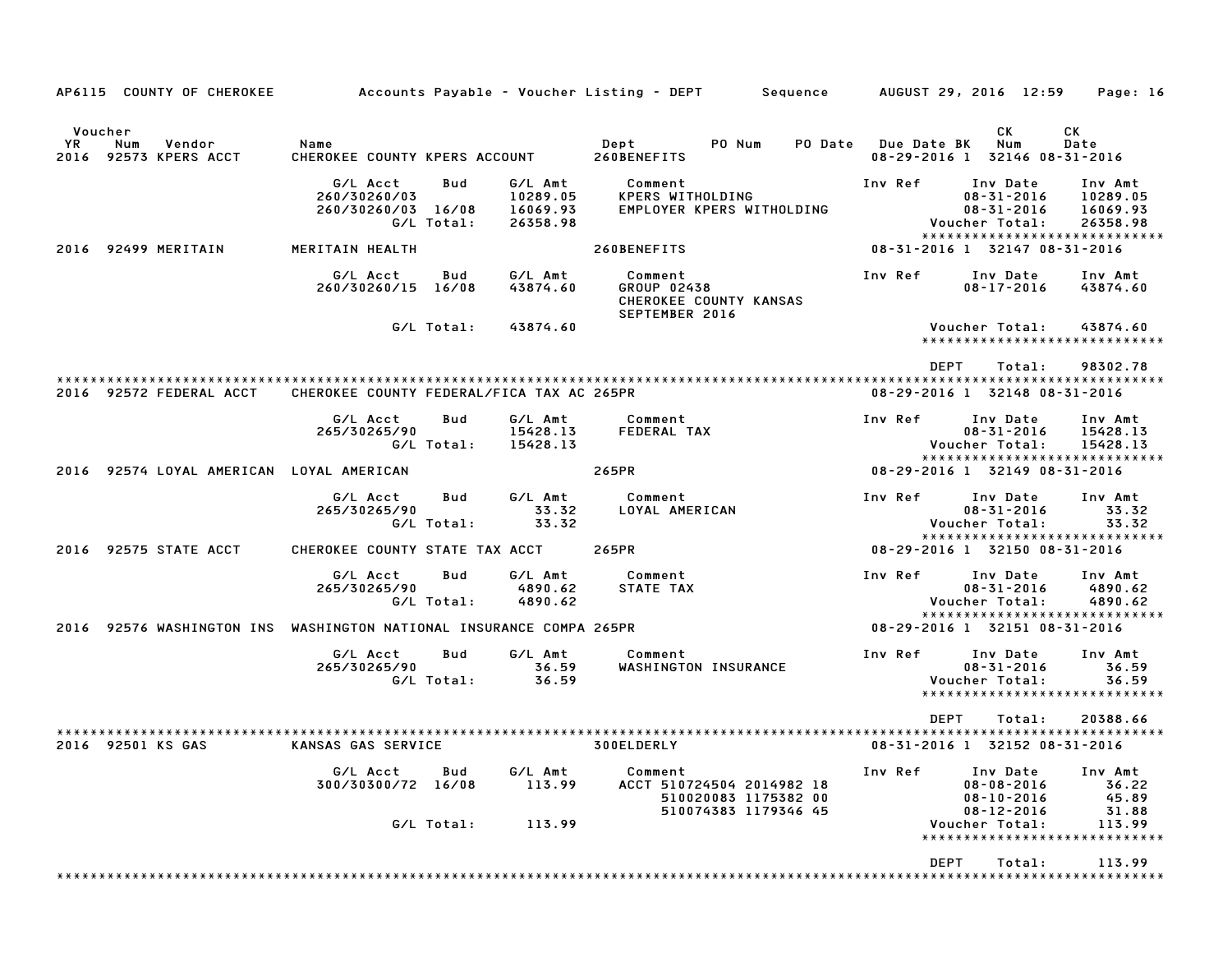| AP6115 COUNTY OF CHEROKEE                                           |                                                |                   |                                             | Accounts Payable – Voucher Listing – DEPT         Sequence                           |         | AUGUST 29, 2016 12:59                                                                               | Page: 16                                    |
|---------------------------------------------------------------------|------------------------------------------------|-------------------|---------------------------------------------|--------------------------------------------------------------------------------------|---------|-----------------------------------------------------------------------------------------------------|---------------------------------------------|
| Voucher<br>YR.<br>Num<br>Vendor<br>2016 92573 KPERS ACCT            | Name<br>CHEROKEE COUNTY KPERS ACCOUNT          |                   |                                             | Dept<br>PO Num<br>260BENEFITS                                                        | PO Date | CK.<br><b>Due Date BK</b><br>Num<br>08-29-2016 1 32146 08-31-2016                                   | СK<br>Date                                  |
|                                                                     | G/L Acct<br>260/30260/03<br>260/30260/03 16/08 | Bud<br>G/L Total: | G/L Amt<br>10289.05<br>16069.93<br>26358.98 | Comment<br>KPERS WITHOLDING<br>EMPLOYER KPERS WITHOLDING                             | Inv Ref | Inv Date<br>$08 - 31 - 2016$<br>$08 - 31 - 2016$<br>Voucher Total:<br>***************************** | Inv Amt<br>10289.05<br>16069.93<br>26358.98 |
| 2016 92499 MERITAIN                                                 | MERITAIN HEALTH                                |                   |                                             | 260BENEFITS                                                                          |         | 08-31-2016 1 32147 08-31-2016                                                                       |                                             |
|                                                                     | G/L Acct<br>260/30260/15 16/08                 | Bud               | G/L Amt<br>43874.60                         | Comment<br>GROUP 02438<br>CHEROKEE COUNTY KANSAS<br>SEPTEMBER 2016                   | Inv Ref | Inv Date<br>$08 - 17 - 2016$                                                                        | Inv Amt<br>43874.60                         |
|                                                                     |                                                | G/L Total:        | 43874.60                                    |                                                                                      |         | Voucher Total:<br>*****************************                                                     | 43874.60                                    |
| 2016 92572 FEDERAL ACCT                                             | CHEROKEE COUNTY FEDERAL/FICA TAX AC 265PR      |                   |                                             |                                                                                      |         | <b>DEPT</b><br>Total:<br>08-29-2016 1 32148 08-31-2016                                              | 98302.78                                    |
|                                                                     | G/L Acct<br>265/30265/90                       | Bud<br>G/L Total: | G/L Amt<br>15428.13<br>15428.13             | Comment<br>FEDERAL TAX                                                               | Inv Ref | Inv Date<br>$08 - 31 - 2016$<br>Voucher Total:                                                      | Inv Amt<br>15428.13<br>15428.13             |
| 2016 92574 LOYAL AMERICAN LOYAL AMERICAN                            |                                                |                   |                                             | 265PR                                                                                |         | *****************************<br>08-29-2016 1 32149 08-31-2016                                      |                                             |
|                                                                     | G/L Acct<br>265/30265/90                       | Bud<br>G/L Total: | G/L Amt<br>33.32<br>33.32                   | Comment<br>LOYAL AMERICAN                                                            | Inv Ref | Inv Date<br>$08 - 31 - 2016$<br>Voucher Total:                                                      | Inv Amt<br>33.32<br>33.32                   |
| 2016 92575 STATE ACCT                                               | CHEROKEE COUNTY STATE TAX ACCT                 |                   |                                             | 265PR                                                                                |         | *****************************<br>08-29-2016 1 32150 08-31-2016                                      |                                             |
|                                                                     | G/L Acct<br>265/30265/90                       | Bud<br>G/L Total: | G/L Amt<br>4890.62<br>4890.62               | Comment<br>STATE TAX                                                                 | Inv Ref | Inv Date<br>$08 - 31 - 2016$<br>Voucher Total:<br>*****************************                     | Inv Amt<br>4890.62<br>4890.62               |
| 2016 92576 WASHINGTON INS WASHINGTON NATIONAL INSURANCE COMPA 265PR |                                                |                   |                                             |                                                                                      |         | 08-29-2016 1 32151 08-31-2016                                                                       |                                             |
|                                                                     | G/L Acct<br>265/30265/90                       | Bud<br>G/L Total: | G/L Amt<br>36.59<br>36.59                   | Comment<br>WASHINGTON INSURANCE                                                      | Inv Ref | Inv Date<br>$08 - 31 - 2016$<br>Voucher Total:<br>*****************************                     | Inv Amt<br>36.59<br>36.59                   |
| 2016 92501 KS GAS                                                   | KANSAS GAS SERVICE                             |                   |                                             | 300ELDERLY                                                                           |         | <b>DEPT</b><br>Total:<br>08-31-2016 1 32152 08-31-2016                                              | 20388.66                                    |
|                                                                     | G/L Acct<br>300/30300/72 16/08                 | Bud               | G/L Amt<br>113.99                           | Comment<br>ACCT 510724504 2014982 18<br>510020083 1175382 00<br>510074383 1179346 45 | Inv Ref | Inv Date<br>$08 - 08 - 2016$<br>$08 - 10 - 2016$<br>$08 - 12 - 2016$                                | Inv Amt<br>36.22<br>45.89<br>31.88          |
|                                                                     |                                                | G/L Total:        | 113.99                                      |                                                                                      |         | Voucher Total:<br>*****************************                                                     | 113.99                                      |
|                                                                     |                                                |                   |                                             |                                                                                      |         | DEPT<br>Total:                                                                                      | 113.99                                      |